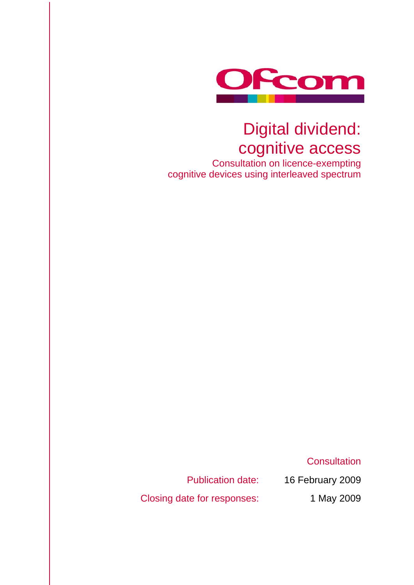

## Digital dividend: cognitive access

Consultation on licence-exempting cognitive devices using interleaved spectrum

**Consultation** 

Closing date for responses: 1 May 2009

Publication date: 16 February 2009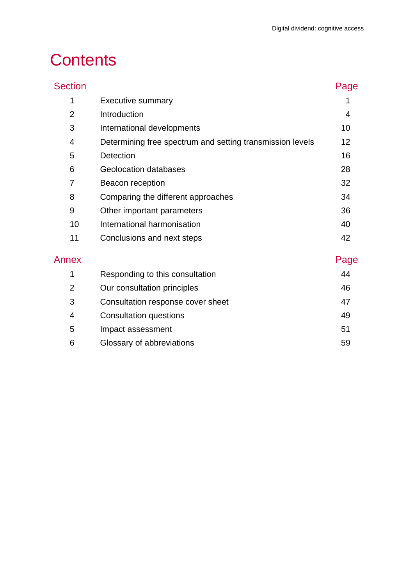## **Contents**

| <b>Section</b> |                                                           | Page |
|----------------|-----------------------------------------------------------|------|
| 1              | <b>Executive summary</b>                                  |      |
| $\overline{2}$ | Introduction                                              | 4    |
| 3              | International developments                                | 10   |
| 4              | Determining free spectrum and setting transmission levels | 12   |
| 5              | Detection                                                 | 16   |
| 6              | Geolocation databases                                     | 28   |
| 7              | Beacon reception                                          | 32   |
| 8              | Comparing the different approaches                        | 34   |
| 9              | Other important parameters                                | 36   |
| 10             | International harmonisation                               | 40   |
| 11             | Conclusions and next steps                                | 42   |
| Annex          |                                                           | Page |
| 1              | Responding to this consultation                           | 44   |
| $\overline{2}$ | Our consultation principles                               | 46   |
| 3              | Consultation response cover sheet                         | 47   |
| 4              | <b>Consultation questions</b>                             | 49   |
| 5              | Impact assessment                                         | 51   |
| 6              | Glossary of abbreviations                                 | 59   |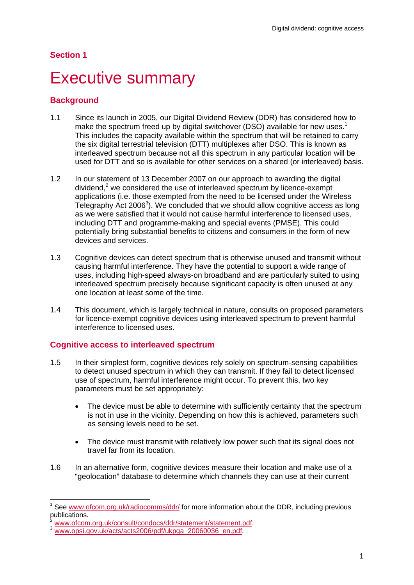#### **Section 1**

## **Executive summary**

#### **Background**

 $\overline{a}$ 

- 1.1 Since its launch in 2005, our Digital Dividend Review (DDR) has considered how to make the spectrum freed up by digital switchover (DSO) available for new uses.<sup>1</sup> This includes the capacity available within the spectrum that will be retained to carry the six digital terrestrial television (DTT) multiplexes after DSO. This is known as interleaved spectrum because not all this spectrum in any particular location will be used for DTT and so is available for other services on a shared (or interleaved) basis.
- 1.2 In our statement of 13 December 2007 on our approach to awarding the digital dividend, $2$  we considered the use of interleaved spectrum by licence-exempt applications (i.e. those exempted from the need to be licensed under the Wireless Telegraphy Act  $2006<sup>3</sup>$ ). We concluded that we should allow cognitive access as long as we were satisfied that it would not cause harmful interference to licensed uses, including DTT and programme-making and special events (PMSE). This could potentially bring substantial benefits to citizens and consumers in the form of new devices and services.
- 1.3 Cognitive devices can detect spectrum that is otherwise unused and transmit without causing harmful interference. They have the potential to support a wide range of uses, including high-speed always-on broadband and are particularly suited to using interleaved spectrum precisely because significant capacity is often unused at any one location at least some of the time.
- 1.4 This document, which is largely technical in nature, consults on proposed parameters for licence-exempt cognitive devices using interleaved spectrum to prevent harmful interference to licensed uses.

#### **Cognitive access to interleaved spectrum**

- 1.5 In their simplest form, cognitive devices rely solely on spectrum-sensing capabilities to detect unused spectrum in which they can transmit. If they fail to detect licensed use of spectrum, harmful interference might occur. To prevent this, two key parameters must be set appropriately:
	- The device must be able to determine with sufficiently certainty that the spectrum is not in use in the vicinity. Depending on how this is achieved, parameters such as sensing levels need to be set.
	- The device must transmit with relatively low power such that its signal does not travel far from its location.
- 1.6 In an alternative form, cognitive devices measure their location and make use of a "geolocation" database to determine which channels they can use at their current

<sup>1</sup> See www.ofcom.org.uk/radiocomms/ddr/ for more information about the DDR, including previous publications.

www.ofcom.org.uk/consult/condocs/ddr/statement/statement.pdf<br>www.opsi.gov.uk/acts/acts2006/pdf/ukpga\_20060036\_en.pdf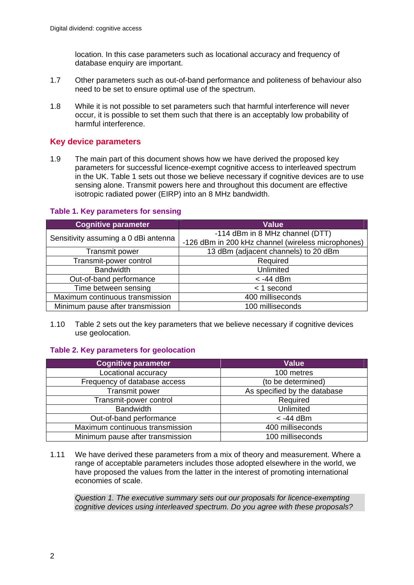location. In this case parameters such as locational accuracy and frequency of database enquiry are important.

- 1.7 Other parameters such as out-of-band performance and politeness of behaviour also need to be set to ensure optimal use of the spectrum.
- 1.8 While it is not possible to set parameters such that harmful interference will never occur, it is possible to set them such that there is an acceptably low probability of harmful interference.

#### **Key device parameters**

1.9 The main part of this document shows how we have derived the proposed key parameters for successful licence-exempt cognitive access to interleaved spectrum in the UK. Table 1 sets out those we believe necessary if cognitive devices are to use sensing alone. Transmit powers here and throughout this document are effective isotropic radiated power (EIRP) into an 8 MHz bandwidth.

#### **Table 1. Key parameters for sensing**

| <b>Cognitive parameter</b>           | <b>Value</b>                                       |
|--------------------------------------|----------------------------------------------------|
|                                      | -114 dBm in 8 MHz channel (DTT)                    |
| Sensitivity assuming a 0 dBi antenna | -126 dBm in 200 kHz channel (wireless microphones) |
| <b>Transmit power</b>                | 13 dBm (adjacent channels) to 20 dBm               |
| Transmit-power control               | Required                                           |
| <b>Bandwidth</b>                     | Unlimited                                          |
| Out-of-band performance              | $<$ -44 dBm                                        |
| Time between sensing                 | $<$ 1 second                                       |
| Maximum continuous transmission      | 400 milliseconds                                   |
| Minimum pause after transmission     | 100 milliseconds                                   |

1.10 Table 2 sets out the key parameters that we believe necessary if cognitive devices use geolocation.

#### **Table 2. Key parameters for geolocation**

| <b>Cognitive parameter</b>       | <b>Value</b>                 |
|----------------------------------|------------------------------|
| Locational accuracy              | 100 metres                   |
| Frequency of database access     | (to be determined)           |
| <b>Transmit power</b>            | As specified by the database |
| Transmit-power control           | Required                     |
| <b>Bandwidth</b>                 | Unlimited                    |
| Out-of-band performance          | $<$ -44 dBm                  |
| Maximum continuous transmission  | 400 milliseconds             |
| Minimum pause after transmission | 100 milliseconds             |

1.11 We have derived these parameters from a mix of theory and measurement. Where a range of acceptable parameters includes those adopted elsewhere in the world, we have proposed the values from the latter in the interest of promoting international economies of scale.

*Question 1. The executive summary sets out our proposals for licence-exempting cognitive devices using interleaved spectrum. Do you agree with these proposals?*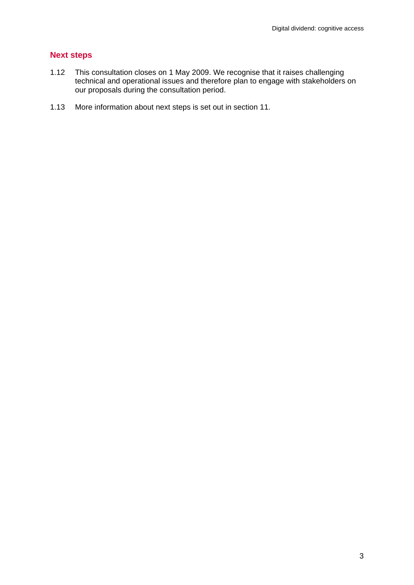#### **Next steps**

- 1.12 This consultation closes on 1 May 2009. We recognise that it raises challenging technical and operational issues and therefore plan to engage with stakeholders on our proposals during the consultation period.
- 1.13 More information about next steps is set out in section 11.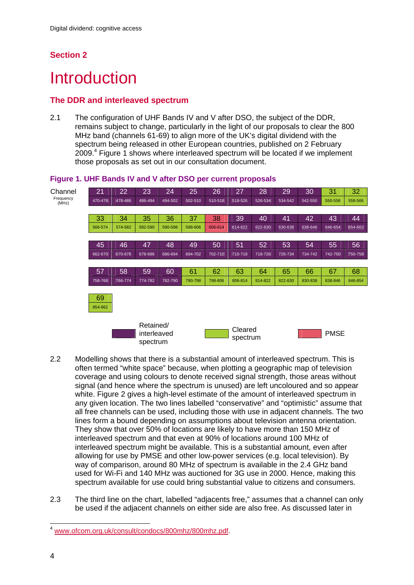## **Section 2**

## **Introduction**

### **The DDR and interleaved spectrum**

2.1 The configuration of UHF Bands IV and V after DSO, the subject of the DDR, remains subject to change, particularly in the light of our proposals to clear the 800 MHz band (channels 61-69) to align more of the UK's digital dividend with the spectrum being released in other European countries, published on 2 February 2009.<sup>4</sup> Figure 1 shows where interleaved spectrum will be located if we implement those proposals as set out in our consultation document.



#### **Figure 1. UHF Bands IV and V after DSO per current proposals**

- 2.2 Modelling shows that there is a substantial amount of interleaved spectrum. This is often termed "white space" because, when plotting a geographic map of television coverage and using colours to denote received signal strength, those areas without signal (and hence where the spectrum is unused) are left uncoloured and so appear white. Figure 2 gives a high-level estimate of the amount of interleaved spectrum in any given location. The two lines labelled "conservative" and "optimistic" assume that all free channels can be used, including those with use in adjacent channels. The two lines form a bound depending on assumptions about television antenna orientation. They show that over 50% of locations are likely to have more than 150 MHz of interleaved spectrum and that even at 90% of locations around 100 MHz of interleaved spectrum might be available. This is a substantial amount, even after allowing for use by PMSE and other low-power services (e.g. local television). By way of comparison, around 80 MHz of spectrum is available in the 2.4 GHz band used for Wi-Fi and 140 MHz was auctioned for 3G use in 2000. Hence, making this spectrum available for use could bring substantial value to citizens and consumers.
- 2.3 The third line on the chart, labelled "adjacents free," assumes that a channel can only be used if the adjacent channels on either side are also free. As discussed later in

 $\overline{a}$ <sup>4</sup> www.ofcom.org.uk/consult/condocs/800mhz/800mhz.pdf.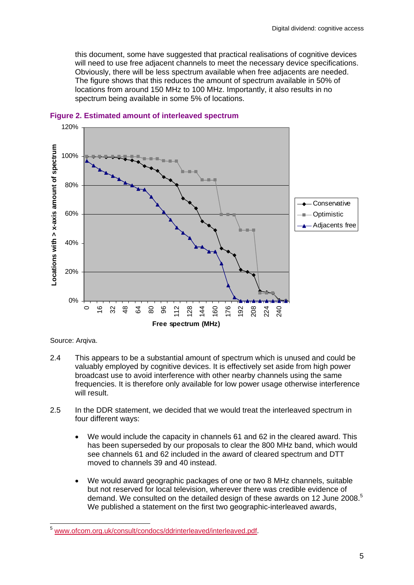this document, some have suggested that practical realisations of cognitive devices will need to use free adjacent channels to meet the necessary device specifications. Obviously, there will be less spectrum available when free adjacents are needed. The figure shows that this reduces the amount of spectrum available in 50% of locations from around 150 MHz to 100 MHz. Importantly, it also results in no spectrum being available in some 5% of locations.



**Figure 2. Estimated amount of interleaved spectrum** 

Source: Arqiva.

 $\overline{a}$ 

- 2.4 This appears to be a substantial amount of spectrum which is unused and could be valuably employed by cognitive devices. It is effectively set aside from high power broadcast use to avoid interference with other nearby channels using the same frequencies. It is therefore only available for low power usage otherwise interference will result.
- 2.5 In the DDR statement, we decided that we would treat the interleaved spectrum in four different ways:
	- We would include the capacity in channels 61 and 62 in the cleared award. This has been superseded by our proposals to clear the 800 MHz band, which would see channels 61 and 62 included in the award of cleared spectrum and DTT moved to channels 39 and 40 instead.
	- We would award geographic packages of one or two 8 MHz channels, suitable but not reserved for local television, wherever there was credible evidence of demand. We consulted on the detailed design of these awards on 12 June 2008.<sup>5</sup> We published a statement on the first two geographic-interleaved awards,

<sup>&</sup>lt;sup>5</sup> www.ofcom.org.uk/consult/condocs/ddrinterleaved/interleaved.pdf.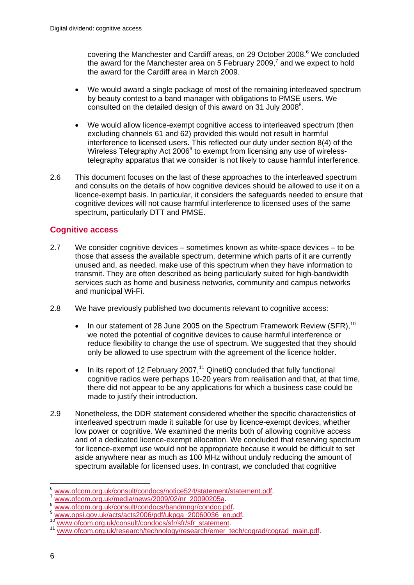covering the Manchester and Cardiff areas, on 29 October 2008.<sup>6</sup> We concluded the award for the Manchester area on 5 February 2009, $^7$  and we expect to hold the award for the Cardiff area in March 2009.

- We would award a single package of most of the remaining interleaved spectrum by beauty contest to a band manager with obligations to PMSE users. We consulted on the detailed design of this award on 31 July 2008<sup>8</sup>.
- We would allow licence-exempt cognitive access to interleaved spectrum (then excluding channels 61 and 62) provided this would not result in harmful interference to licensed users. This reflected our duty under section 8(4) of the Wireless Telegraphy Act 2006<sup>9</sup> to exempt from licensing any use of wirelesstelegraphy apparatus that we consider is not likely to cause harmful interference.
- 2.6 This document focuses on the last of these approaches to the interleaved spectrum and consults on the details of how cognitive devices should be allowed to use it on a licence-exempt basis. In particular, it considers the safeguards needed to ensure that cognitive devices will not cause harmful interference to licensed uses of the same spectrum, particularly DTT and PMSE.

### **Cognitive access**

- 2.7 We consider cognitive devices sometimes known as white-space devices to be those that assess the available spectrum, determine which parts of it are currently unused and, as needed, make use of this spectrum when they have information to transmit. They are often described as being particularly suited for high-bandwidth services such as home and business networks, community and campus networks and municipal Wi-Fi.
- 2.8 We have previously published two documents relevant to cognitive access:
	- In our statement of 28 June 2005 on the Spectrum Framework Review (SFR),<sup>10</sup> we noted the potential of cognitive devices to cause harmful interference or reduce flexibility to change the use of spectrum. We suggested that they should only be allowed to use spectrum with the agreement of the licence holder.
	- In its report of 12 February 2007,<sup>11</sup> QinetiQ concluded that fully functional cognitive radios were perhaps 10-20 years from realisation and that, at that time, there did not appear to be any applications for which a business case could be made to justify their introduction.
- 2.9 Nonetheless, the DDR statement considered whether the specific characteristics of interleaved spectrum made it suitable for use by licence-exempt devices, whether low power or cognitive. We examined the merits both of allowing cognitive access and of a dedicated licence-exempt allocation. We concluded that reserving spectrum for licence-exempt use would not be appropriate because it would be difficult to set aside anywhere near as much as 100 MHz without unduly reducing the amount of spectrum available for licensed uses. In contrast, we concluded that cognitive

<sup>1</sup> 

<sup>%</sup>www.ofcom.org.uk/consult/condocs/notice524/statement/statement.pdf<br>
xww.ofcom.org.uk/media/news/2009/02/nr\_20090205a<br>
xww.ofcom.org.uk/consult/condocs/bandmngr/condoc.pdf<br>
xww.opsi.gov.uk/acts/acts2006/pdf/ukpga\_20060036\_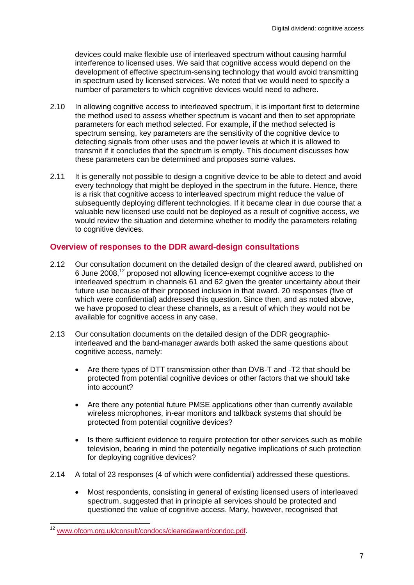devices could make flexible use of interleaved spectrum without causing harmful interference to licensed uses. We said that cognitive access would depend on the development of effective spectrum-sensing technology that would avoid transmitting in spectrum used by licensed services. We noted that we would need to specify a number of parameters to which cognitive devices would need to adhere.

- 2.10 In allowing cognitive access to interleaved spectrum, it is important first to determine the method used to assess whether spectrum is vacant and then to set appropriate parameters for each method selected. For example, if the method selected is spectrum sensing, key parameters are the sensitivity of the cognitive device to detecting signals from other uses and the power levels at which it is allowed to transmit if it concludes that the spectrum is empty. This document discusses how these parameters can be determined and proposes some values.
- 2.11 It is generally not possible to design a cognitive device to be able to detect and avoid every technology that might be deployed in the spectrum in the future. Hence, there is a risk that cognitive access to interleaved spectrum might reduce the value of subsequently deploying different technologies. If it became clear in due course that a valuable new licensed use could not be deployed as a result of cognitive access, we would review the situation and determine whether to modify the parameters relating to cognitive devices.

#### **Overview of responses to the DDR award-design consultations**

- 2.12 Our consultation document on the detailed design of the cleared award, published on 6 June 2008,12 proposed not allowing licence-exempt cognitive access to the interleaved spectrum in channels 61 and 62 given the greater uncertainty about their future use because of their proposed inclusion in that award. 20 responses (five of which were confidential) addressed this question. Since then, and as noted above, we have proposed to clear these channels, as a result of which they would not be available for cognitive access in any case.
- 2.13 Our consultation documents on the detailed design of the DDR geographicinterleaved and the band-manager awards both asked the same questions about cognitive access, namely:
	- Are there types of DTT transmission other than DVB-T and -T2 that should be protected from potential cognitive devices or other factors that we should take into account?
	- Are there any potential future PMSE applications other than currently available wireless microphones, in-ear monitors and talkback systems that should be protected from potential cognitive devices?
	- Is there sufficient evidence to require protection for other services such as mobile television, bearing in mind the potentially negative implications of such protection for deploying cognitive devices?
- 2.14 A total of 23 responses (4 of which were confidential) addressed these questions.
	- Most respondents, consisting in general of existing licensed users of interleaved spectrum, suggested that in principle all services should be protected and questioned the value of cognitive access. Many, however, recognised that

 $\overline{a}$ 

<sup>&</sup>lt;sup>12</sup> www.ofcom.org.uk/consult/condocs/clearedaward/condoc.pdf.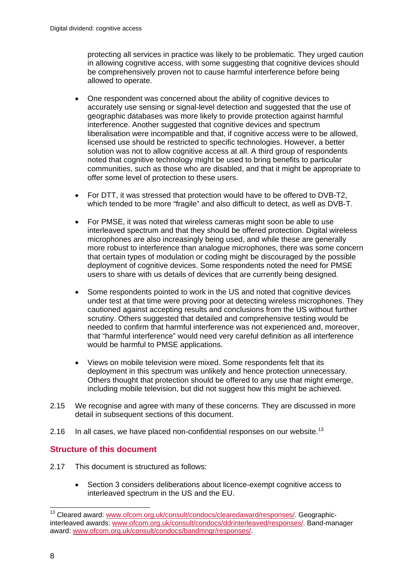protecting all services in practice was likely to be problematic. They urged caution in allowing cognitive access, with some suggesting that cognitive devices should be comprehensively proven not to cause harmful interference before being allowed to operate.

- One respondent was concerned about the ability of cognitive devices to accurately use sensing or signal-level detection and suggested that the use of geographic databases was more likely to provide protection against harmful interference. Another suggested that cognitive devices and spectrum liberalisation were incompatible and that, if cognitive access were to be allowed, licensed use should be restricted to specific technologies. However, a better solution was not to allow cognitive access at all. A third group of respondents noted that cognitive technology might be used to bring benefits to particular communities, such as those who are disabled, and that it might be appropriate to offer some level of protection to these users.
- For DTT, it was stressed that protection would have to be offered to DVB-T2, which tended to be more "fragile" and also difficult to detect, as well as DVB-T.
- For PMSE, it was noted that wireless cameras might soon be able to use interleaved spectrum and that they should be offered protection. Digital wireless microphones are also increasingly being used, and while these are generally more robust to interference than analogue microphones, there was some concern that certain types of modulation or coding might be discouraged by the possible deployment of cognitive devices. Some respondents noted the need for PMSE users to share with us details of devices that are currently being designed.
- Some respondents pointed to work in the US and noted that cognitive devices under test at that time were proving poor at detecting wireless microphones. They cautioned against accepting results and conclusions from the US without further scrutiny. Others suggested that detailed and comprehensive testing would be needed to confirm that harmful interference was not experienced and, moreover, that "harmful interference" would need very careful definition as all interference would be harmful to PMSE applications.
- Views on mobile television were mixed. Some respondents felt that its deployment in this spectrum was unlikely and hence protection unnecessary. Others thought that protection should be offered to any use that might emerge, including mobile television, but did not suggest how this might be achieved.
- 2.15 We recognise and agree with many of these concerns. They are discussed in more detail in subsequent sections of this document.
- 2.16 In all cases, we have placed non-confidential responses on our website.<sup>13</sup>

#### **Structure of this document**

- 2.17 This document is structured as follows:
	- Section 3 considers deliberations about licence-exempt cognitive access to interleaved spectrum in the US and the EU.

1

<sup>&</sup>lt;sup>13</sup> Cleared award: www.ofcom.org.uk/consult/condocs/clearedaward/responses/. Geographicinterleaved awards: www.ofcom.org.uk/consult/condocs/ddrinterleaved/responses/. Band-manager award: www.ofcom.org.uk/consult/condocs/bandmngr/responses/.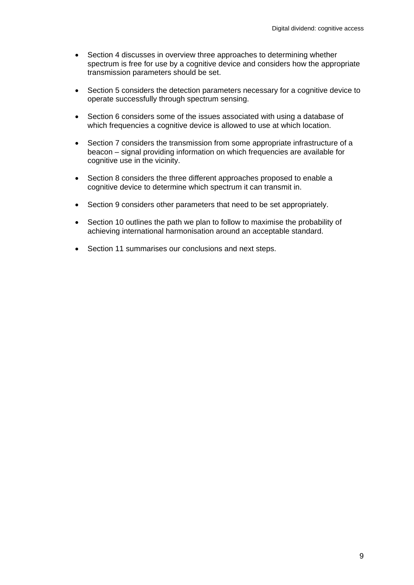- Section 4 discusses in overview three approaches to determining whether spectrum is free for use by a cognitive device and considers how the appropriate transmission parameters should be set.
- Section 5 considers the detection parameters necessary for a cognitive device to operate successfully through spectrum sensing.
- Section 6 considers some of the issues associated with using a database of which frequencies a cognitive device is allowed to use at which location.
- Section 7 considers the transmission from some appropriate infrastructure of a beacon – signal providing information on which frequencies are available for cognitive use in the vicinity.
- Section 8 considers the three different approaches proposed to enable a cognitive device to determine which spectrum it can transmit in.
- Section 9 considers other parameters that need to be set appropriately.
- Section 10 outlines the path we plan to follow to maximise the probability of achieving international harmonisation around an acceptable standard.
- Section 11 summarises our conclusions and next steps.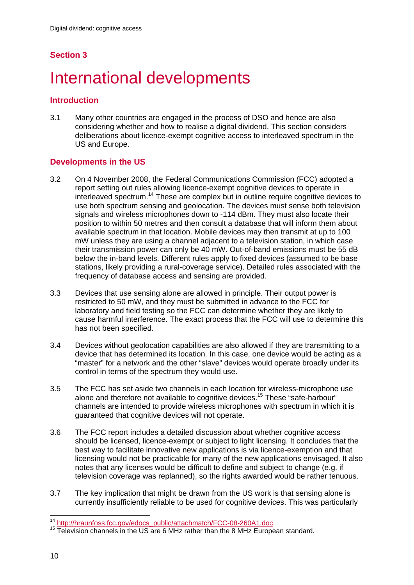## **Section 3**

# International developments

#### **Introduction**

3.1 Many other countries are engaged in the process of DSO and hence are also considering whether and how to realise a digital dividend. This section considers deliberations about licence-exempt cognitive access to interleaved spectrum in the US and Europe.

#### **Developments in the US**

- 3.2 On 4 November 2008, the Federal Communications Commission (FCC) adopted a report setting out rules allowing licence-exempt cognitive devices to operate in interleaved spectrum.14 These are complex but in outline require cognitive devices to use both spectrum sensing and geolocation. The devices must sense both television signals and wireless microphones down to -114 dBm. They must also locate their position to within 50 metres and then consult a database that will inform them about available spectrum in that location. Mobile devices may then transmit at up to 100 mW unless they are using a channel adjacent to a television station, in which case their transmission power can only be 40 mW. Out-of-band emissions must be 55 dB below the in-band levels. Different rules apply to fixed devices (assumed to be base stations, likely providing a rural-coverage service). Detailed rules associated with the frequency of database access and sensing are provided.
- 3.3 Devices that use sensing alone are allowed in principle. Their output power is restricted to 50 mW, and they must be submitted in advance to the FCC for laboratory and field testing so the FCC can determine whether they are likely to cause harmful interference. The exact process that the FCC will use to determine this has not been specified.
- 3.4 Devices without geolocation capabilities are also allowed if they are transmitting to a device that has determined its location. In this case, one device would be acting as a "master" for a network and the other "slave" devices would operate broadly under its control in terms of the spectrum they would use.
- 3.5 The FCC has set aside two channels in each location for wireless-microphone use alone and therefore not available to cognitive devices.<sup>15</sup> These "safe-harbour" channels are intended to provide wireless microphones with spectrum in which it is guaranteed that cognitive devices will not operate.
- 3.6 The FCC report includes a detailed discussion about whether cognitive access should be licensed, licence-exempt or subject to light licensing. It concludes that the best way to facilitate innovative new applications is via licence-exemption and that licensing would not be practicable for many of the new applications envisaged. It also notes that any licenses would be difficult to define and subject to change (e.g. if television coverage was replanned), so the rights awarded would be rather tenuous.
- 3.7 The key implication that might be drawn from the US work is that sensing alone is currently insufficiently reliable to be used for cognitive devices. This was particularly

<sup>&</sup>lt;sup>14</sup> http://hraunfoss.fcc.gov/edocs\_public/attachmatch/FCC-08-260A1.doc.

<sup>&</sup>lt;sup>15</sup> Television channels in the US are 6 MHz rather than the 8 MHz European standard.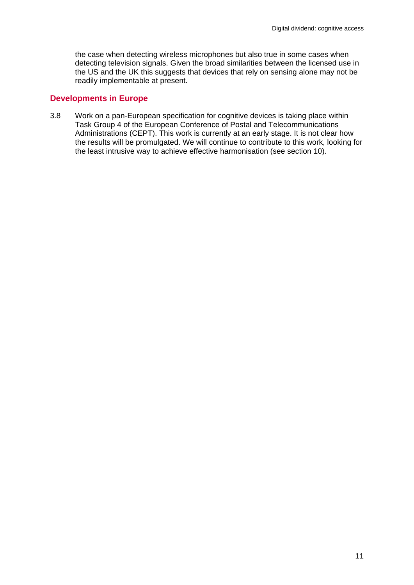the case when detecting wireless microphones but also true in some cases when detecting television signals. Given the broad similarities between the licensed use in the US and the UK this suggests that devices that rely on sensing alone may not be readily implementable at present.

#### **Developments in Europe**

3.8 Work on a pan-European specification for cognitive devices is taking place within Task Group 4 of the European Conference of Postal and Telecommunications Administrations (CEPT). This work is currently at an early stage. It is not clear how the results will be promulgated. We will continue to contribute to this work, looking for the least intrusive way to achieve effective harmonisation (see section 10).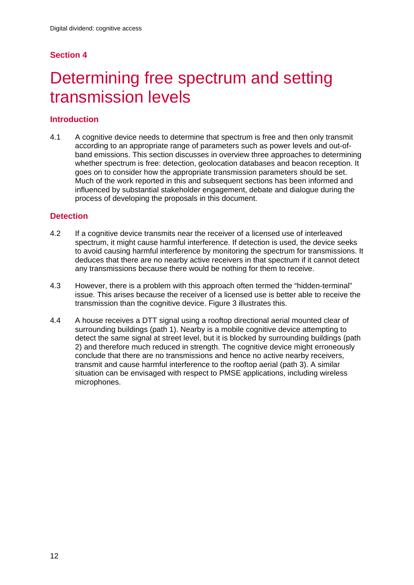## **Section 4**

## Determining free spectrum and setting transmission levels

### **Introduction**

4.1 A cognitive device needs to determine that spectrum is free and then only transmit according to an appropriate range of parameters such as power levels and out-ofband emissions. This section discusses in overview three approaches to determining whether spectrum is free: detection, geolocation databases and beacon reception. It goes on to consider how the appropriate transmission parameters should be set. Much of the work reported in this and subsequent sections has been informed and influenced by substantial stakeholder engagement, debate and dialogue during the process of developing the proposals in this document.

#### **Detection**

- 4.2 If a cognitive device transmits near the receiver of a licensed use of interleaved spectrum, it might cause harmful interference. If detection is used, the device seeks to avoid causing harmful interference by monitoring the spectrum for transmissions. It deduces that there are no nearby active receivers in that spectrum if it cannot detect any transmissions because there would be nothing for them to receive.
- 4.3 However, there is a problem with this approach often termed the "hidden-terminal" issue. This arises because the receiver of a licensed use is better able to receive the transmission than the cognitive device. Figure 3 illustrates this.
- 4.4 A house receives a DTT signal using a rooftop directional aerial mounted clear of surrounding buildings (path 1). Nearby is a mobile cognitive device attempting to detect the same signal at street level, but it is blocked by surrounding buildings (path 2) and therefore much reduced in strength. The cognitive device might erroneously conclude that there are no transmissions and hence no active nearby receivers, transmit and cause harmful interference to the rooftop aerial (path 3). A similar situation can be envisaged with respect to PMSE applications, including wireless microphones.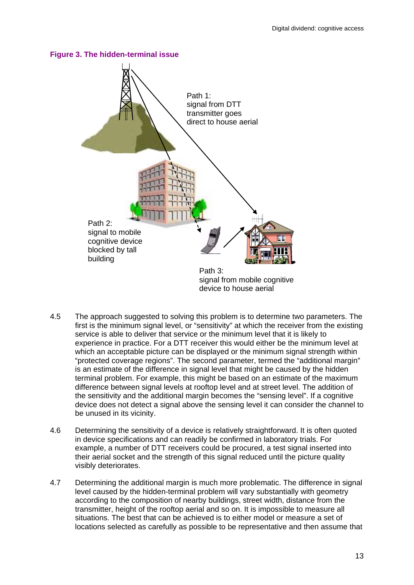

- 4.5 The approach suggested to solving this problem is to determine two parameters. The first is the minimum signal level, or "sensitivity" at which the receiver from the existing service is able to deliver that service or the minimum level that it is likely to experience in practice. For a DTT receiver this would either be the minimum level at which an acceptable picture can be displayed or the minimum signal strength within "protected coverage regions". The second parameter, termed the "additional margin" is an estimate of the difference in signal level that might be caused by the hidden terminal problem. For example, this might be based on an estimate of the maximum difference between signal levels at rooftop level and at street level. The addition of the sensitivity and the additional margin becomes the "sensing level". If a cognitive device does not detect a signal above the sensing level it can consider the channel to be unused in its vicinity.
- 4.6 Determining the sensitivity of a device is relatively straightforward. It is often quoted in device specifications and can readily be confirmed in laboratory trials. For example, a number of DTT receivers could be procured, a test signal inserted into their aerial socket and the strength of this signal reduced until the picture quality visibly deteriorates.
- 4.7 Determining the additional margin is much more problematic. The difference in signal level caused by the hidden-terminal problem will vary substantially with geometry according to the composition of nearby buildings, street width, distance from the transmitter, height of the rooftop aerial and so on. It is impossible to measure all situations. The best that can be achieved is to either model or measure a set of locations selected as carefully as possible to be representative and then assume that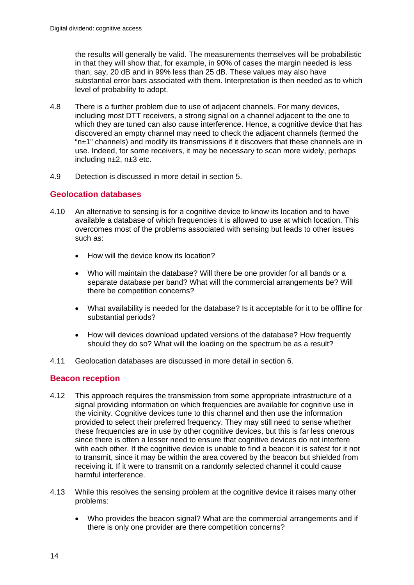the results will generally be valid. The measurements themselves will be probabilistic in that they will show that, for example, in 90% of cases the margin needed is less than, say, 20 dB and in 99% less than 25 dB. These values may also have substantial error bars associated with them. Interpretation is then needed as to which level of probability to adopt.

- 4.8 There is a further problem due to use of adjacent channels. For many devices, including most DTT receivers, a strong signal on a channel adjacent to the one to which they are tuned can also cause interference. Hence, a cognitive device that has discovered an empty channel may need to check the adjacent channels (termed the "n±1" channels) and modify its transmissions if it discovers that these channels are in use. Indeed, for some receivers, it may be necessary to scan more widely, perhaps including n±2, n±3 etc.
- 4.9 Detection is discussed in more detail in section 5.

#### **Geolocation databases**

- 4.10 An alternative to sensing is for a cognitive device to know its location and to have available a database of which frequencies it is allowed to use at which location. This overcomes most of the problems associated with sensing but leads to other issues such as:
	- How will the device know its location?
	- Who will maintain the database? Will there be one provider for all bands or a separate database per band? What will the commercial arrangements be? Will there be competition concerns?
	- What availability is needed for the database? Is it acceptable for it to be offline for substantial periods?
	- How will devices download updated versions of the database? How frequently should they do so? What will the loading on the spectrum be as a result?
- 4.11 Geolocation databases are discussed in more detail in section 6.

#### **Beacon reception**

- 4.12 This approach requires the transmission from some appropriate infrastructure of a signal providing information on which frequencies are available for cognitive use in the vicinity. Cognitive devices tune to this channel and then use the information provided to select their preferred frequency. They may still need to sense whether these frequencies are in use by other cognitive devices, but this is far less onerous since there is often a lesser need to ensure that cognitive devices do not interfere with each other. If the cognitive device is unable to find a beacon it is safest for it not to transmit, since it may be within the area covered by the beacon but shielded from receiving it. If it were to transmit on a randomly selected channel it could cause harmful interference.
- 4.13 While this resolves the sensing problem at the cognitive device it raises many other problems:
	- Who provides the beacon signal? What are the commercial arrangements and if there is only one provider are there competition concerns?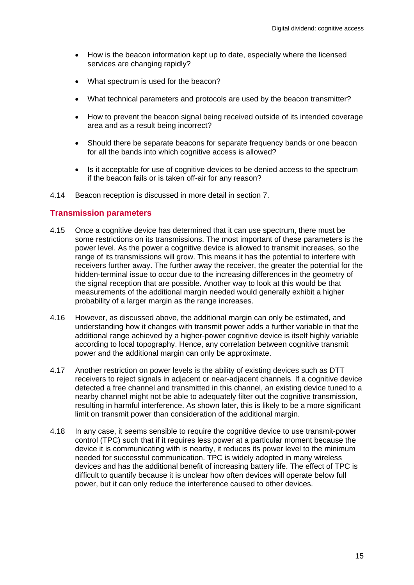- How is the beacon information kept up to date, especially where the licensed services are changing rapidly?
- What spectrum is used for the beacon?
- What technical parameters and protocols are used by the beacon transmitter?
- How to prevent the beacon signal being received outside of its intended coverage area and as a result being incorrect?
- Should there be separate beacons for separate frequency bands or one beacon for all the bands into which cognitive access is allowed?
- Is it acceptable for use of cognitive devices to be denied access to the spectrum if the beacon fails or is taken off-air for any reason?
- 4.14 Beacon reception is discussed in more detail in section 7.

#### **Transmission parameters**

- 4.15 Once a cognitive device has determined that it can use spectrum, there must be some restrictions on its transmissions. The most important of these parameters is the power level. As the power a cognitive device is allowed to transmit increases, so the range of its transmissions will grow. This means it has the potential to interfere with receivers further away. The further away the receiver, the greater the potential for the hidden-terminal issue to occur due to the increasing differences in the geometry of the signal reception that are possible. Another way to look at this would be that measurements of the additional margin needed would generally exhibit a higher probability of a larger margin as the range increases.
- 4.16 However, as discussed above, the additional margin can only be estimated, and understanding how it changes with transmit power adds a further variable in that the additional range achieved by a higher-power cognitive device is itself highly variable according to local topography. Hence, any correlation between cognitive transmit power and the additional margin can only be approximate.
- 4.17 Another restriction on power levels is the ability of existing devices such as DTT receivers to reject signals in adjacent or near-adjacent channels. If a cognitive device detected a free channel and transmitted in this channel, an existing device tuned to a nearby channel might not be able to adequately filter out the cognitive transmission, resulting in harmful interference. As shown later, this is likely to be a more significant limit on transmit power than consideration of the additional margin.
- 4.18 In any case, it seems sensible to require the cognitive device to use transmit-power control (TPC) such that if it requires less power at a particular moment because the device it is communicating with is nearby, it reduces its power level to the minimum needed for successful communication. TPC is widely adopted in many wireless devices and has the additional benefit of increasing battery life. The effect of TPC is difficult to quantify because it is unclear how often devices will operate below full power, but it can only reduce the interference caused to other devices.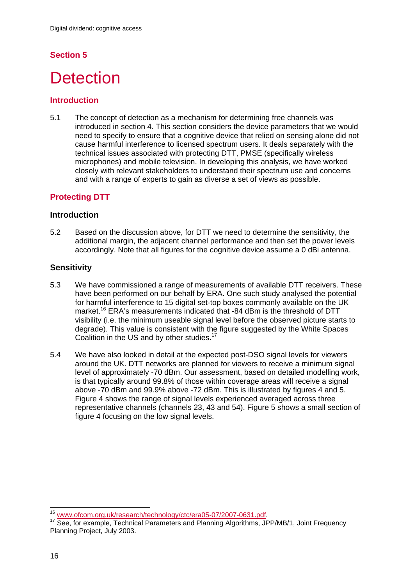## **Section 5**

## **Detection**

#### **Introduction**

5.1 The concept of detection as a mechanism for determining free channels was introduced in section 4. This section considers the device parameters that we would need to specify to ensure that a cognitive device that relied on sensing alone did not cause harmful interference to licensed spectrum users. It deals separately with the technical issues associated with protecting DTT, PMSE (specifically wireless microphones) and mobile television. In developing this analysis, we have worked closely with relevant stakeholders to understand their spectrum use and concerns and with a range of experts to gain as diverse a set of views as possible.

#### **Protecting DTT**

#### **Introduction**

5.2 Based on the discussion above, for DTT we need to determine the sensitivity, the additional margin, the adjacent channel performance and then set the power levels accordingly. Note that all figures for the cognitive device assume a 0 dBi antenna.

#### **Sensitivity**

- 5.3 We have commissioned a range of measurements of available DTT receivers. These have been performed on our behalf by ERA. One such study analysed the potential for harmful interference to 15 digital set-top boxes commonly available on the UK market.<sup>16</sup> ERA's measurements indicated that -84 dBm is the threshold of DTT visibility (i.e. the minimum useable signal level before the observed picture starts to degrade). This value is consistent with the figure suggested by the White Spaces Coalition in the US and by other studies.<sup>17</sup>
- 5.4 We have also looked in detail at the expected post-DSO signal levels for viewers around the UK. DTT networks are planned for viewers to receive a minimum signal level of approximately -70 dBm. Our assessment, based on detailed modelling work, is that typically around 99.8% of those within coverage areas will receive a signal above -70 dBm and 99.9% above -72 dBm. This is illustrated by figures 4 and 5. Figure 4 shows the range of signal levels experienced averaged across three representative channels (channels 23, 43 and 54). Figure 5 shows a small section of figure 4 focusing on the low signal levels.

<sup>&</sup>lt;sup>16</sup> www.ofcom.org.uk/research/technology/ctc/era05-07/2007-0631.pdf.

<sup>&</sup>lt;sup>17</sup> See, for example, Technical Parameters and Planning Algorithms, JPP/MB/1, Joint Frequency Planning Project, July 2003.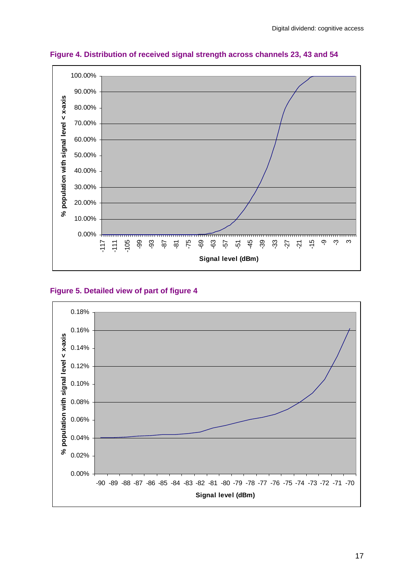

**Figure 4. Distribution of received signal strength across channels 23, 43 and 54** 

#### **Figure 5. Detailed view of part of figure 4**

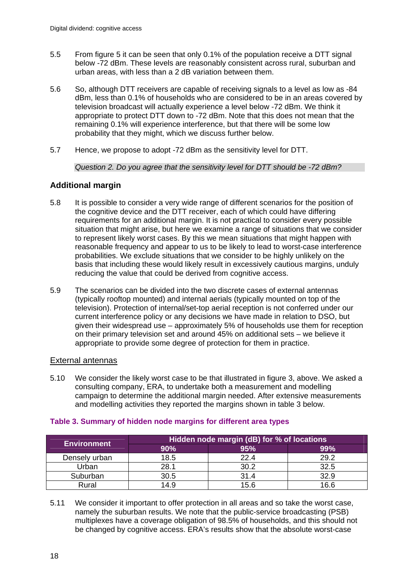- 5.5 From figure 5 it can be seen that only 0.1% of the population receive a DTT signal below -72 dBm. These levels are reasonably consistent across rural, suburban and urban areas, with less than a 2 dB variation between them.
- 5.6 So, although DTT receivers are capable of receiving signals to a level as low as -84 dBm, less than 0.1% of households who are considered to be in an areas covered by television broadcast will actually experience a level below -72 dBm. We think it appropriate to protect DTT down to -72 dBm. Note that this does not mean that the remaining 0.1% will experience interference, but that there will be some low probability that they might, which we discuss further below.
- 5.7 Hence, we propose to adopt -72 dBm as the sensitivity level for DTT.

*Question 2. Do you agree that the sensitivity level for DTT should be -72 dBm?* 

### **Additional margin**

- 5.8 It is possible to consider a very wide range of different scenarios for the position of the cognitive device and the DTT receiver, each of which could have differing requirements for an additional margin. It is not practical to consider every possible situation that might arise, but here we examine a range of situations that we consider to represent likely worst cases. By this we mean situations that might happen with reasonable frequency and appear to us to be likely to lead to worst-case interference probabilities. We exclude situations that we consider to be highly unlikely on the basis that including these would likely result in excessively cautious margins, unduly reducing the value that could be derived from cognitive access.
- 5.9 The scenarios can be divided into the two discrete cases of external antennas (typically rooftop mounted) and internal aerials (typically mounted on top of the television). Protection of internal/set-top aerial reception is not conferred under our current interference policy or any decisions we have made in relation to DSO, but given their widespread use – approximately 5% of households use them for reception on their primary television set and around 45% on additional sets – we believe it appropriate to provide some degree of protection for them in practice.

#### External antennas

5.10 We consider the likely worst case to be that illustrated in figure 3, above. We asked a consulting company, ERA, to undertake both a measurement and modelling campaign to determine the additional margin needed. After extensive measurements and modelling activities they reported the margins shown in table 3 below.

| <b>Environment</b> | Hidden node margin (dB) for % of locations |      |      |  |
|--------------------|--------------------------------------------|------|------|--|
|                    | 90%                                        | 95%  | 99%  |  |
| Densely urban      | 18.5                                       | 22.4 | 29.2 |  |
| Urban              | 28.1                                       | 30.2 | 32.5 |  |
| Suburban           | 30.5                                       | 31.4 | 32.9 |  |
| Rural              | 4.9                                        | 15.6 | 16.6 |  |

#### **Table 3. Summary of hidden node margins for different area types**

5.11 We consider it important to offer protection in all areas and so take the worst case, namely the suburban results. We note that the public-service broadcasting (PSB) multiplexes have a coverage obligation of 98.5% of households, and this should not be changed by cognitive access. ERA's results show that the absolute worst-case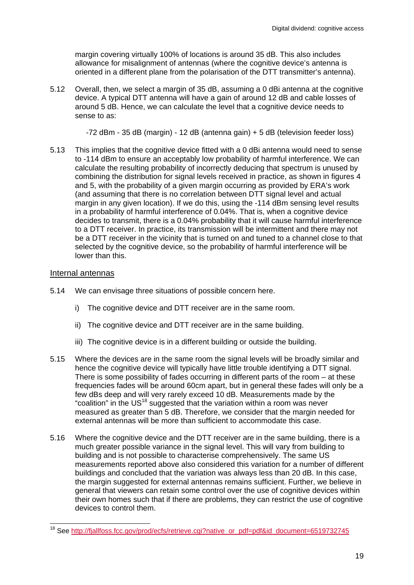margin covering virtually 100% of locations is around 35 dB. This also includes allowance for misalignment of antennas (where the cognitive device's antenna is oriented in a different plane from the polarisation of the DTT transmitter's antenna).

5.12 Overall, then, we select a margin of 35 dB, assuming a 0 dBi antenna at the cognitive device. A typical DTT antenna will have a gain of around 12 dB and cable losses of around 5 dB. Hence, we can calculate the level that a cognitive device needs to sense to as:

-72 dBm - 35 dB (margin) - 12 dB (antenna gain) + 5 dB (television feeder loss)

5.13 This implies that the cognitive device fitted with a 0 dBi antenna would need to sense to -114 dBm to ensure an acceptably low probability of harmful interference. We can calculate the resulting probability of incorrectly deducing that spectrum is unused by combining the distribution for signal levels received in practice, as shown in figures 4 and 5, with the probability of a given margin occurring as provided by ERA's work (and assuming that there is no correlation between DTT signal level and actual margin in any given location). If we do this, using the -114 dBm sensing level results in a probability of harmful interference of 0.04%. That is, when a cognitive device decides to transmit, there is a 0.04% probability that it will cause harmful interference to a DTT receiver. In practice, its transmission will be intermittent and there may not be a DTT receiver in the vicinity that is turned on and tuned to a channel close to that selected by the cognitive device, so the probability of harmful interference will be lower than this.

#### Internal antennas

 $\overline{a}$ 

- 5.14 We can envisage three situations of possible concern here.
	- i) The cognitive device and DTT receiver are in the same room.
	- ii) The cognitive device and DTT receiver are in the same building.
	- iii) The cognitive device is in a different building or outside the building.
- 5.15 Where the devices are in the same room the signal levels will be broadly similar and hence the cognitive device will typically have little trouble identifying a DTT signal. There is some possibility of fades occurring in different parts of the room – at these frequencies fades will be around 60cm apart, but in general these fades will only be a few dBs deep and will very rarely exceed 10 dB. Measurements made by the "coalition" in the US<sup>18</sup> suggested that the variation within a room was never measured as greater than 5 dB. Therefore, we consider that the margin needed for external antennas will be more than sufficient to accommodate this case.
- 5.16 Where the cognitive device and the DTT receiver are in the same building, there is a much greater possible variance in the signal level. This will vary from building to building and is not possible to characterise comprehensively. The same US measurements reported above also considered this variation for a number of different buildings and concluded that the variation was always less than 20 dB. In this case, the margin suggested for external antennas remains sufficient. Further, we believe in general that viewers can retain some control over the use of cognitive devices within their own homes such that if there are problems, they can restrict the use of cognitive devices to control them.

<sup>&</sup>lt;sup>18</sup> See http://fjallfoss.fcc.gov/prod/ecfs/retrieve.cgi?native\_or\_pdf=pdf&id\_document=6519732745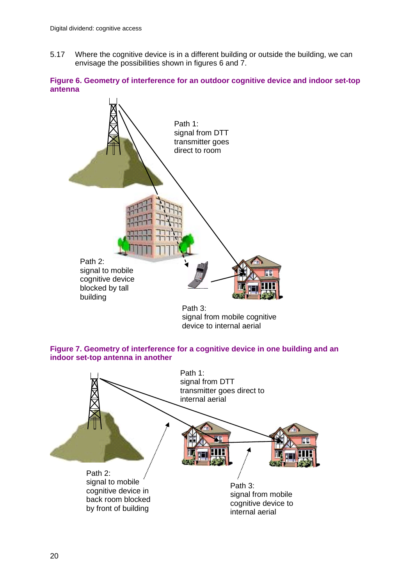5.17 Where the cognitive device is in a different building or outside the building, we can envisage the possibilities shown in figures 6 and 7.





signal from mobile cognitive device to internal aerial



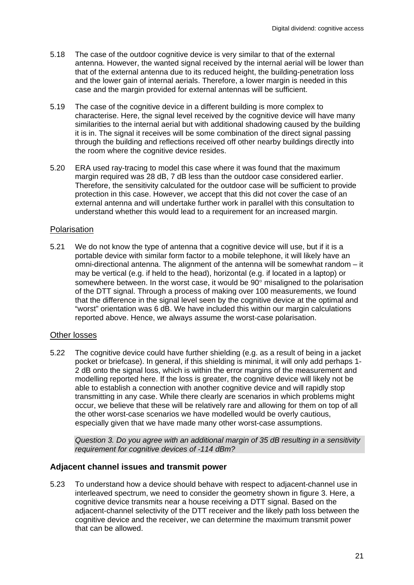- 5.18 The case of the outdoor cognitive device is very similar to that of the external antenna. However, the wanted signal received by the internal aerial will be lower than that of the external antenna due to its reduced height, the building-penetration loss and the lower gain of internal aerials. Therefore, a lower margin is needed in this case and the margin provided for external antennas will be sufficient.
- 5.19 The case of the cognitive device in a different building is more complex to characterise. Here, the signal level received by the cognitive device will have many similarities to the internal aerial but with additional shadowing caused by the building it is in. The signal it receives will be some combination of the direct signal passing through the building and reflections received off other nearby buildings directly into the room where the cognitive device resides.
- 5.20 ERA used ray-tracing to model this case where it was found that the maximum margin required was 28 dB, 7 dB less than the outdoor case considered earlier. Therefore, the sensitivity calculated for the outdoor case will be sufficient to provide protection in this case. However, we accept that this did not cover the case of an external antenna and will undertake further work in parallel with this consultation to understand whether this would lead to a requirement for an increased margin.

#### Polarisation

5.21 We do not know the type of antenna that a cognitive device will use, but if it is a portable device with similar form factor to a mobile telephone, it will likely have an omni-directional antenna. The alignment of the antenna will be somewhat random – it may be vertical (e.g. if held to the head), horizontal (e.g. if located in a laptop) or somewhere between. In the worst case, it would be  $90^\circ$  misaligned to the polarisation of the DTT signal. Through a process of making over 100 measurements, we found that the difference in the signal level seen by the cognitive device at the optimal and "worst" orientation was 6 dB. We have included this within our margin calculations reported above. Hence, we always assume the worst-case polarisation.

#### Other losses

5.22 The cognitive device could have further shielding (e.g. as a result of being in a jacket pocket or briefcase). In general, if this shielding is minimal, it will only add perhaps 1- 2 dB onto the signal loss, which is within the error margins of the measurement and modelling reported here. If the loss is greater, the cognitive device will likely not be able to establish a connection with another cognitive device and will rapidly stop transmitting in any case. While there clearly are scenarios in which problems might occur, we believe that these will be relatively rare and allowing for them on top of all the other worst-case scenarios we have modelled would be overly cautious, especially given that we have made many other worst-case assumptions.

*Question 3. Do you agree with an additional margin of 35 dB resulting in a sensitivity requirement for cognitive devices of -114 dBm?* 

#### **Adjacent channel issues and transmit power**

5.23 To understand how a device should behave with respect to adjacent-channel use in interleaved spectrum, we need to consider the geometry shown in figure 3. Here, a cognitive device transmits near a house receiving a DTT signal. Based on the adjacent-channel selectivity of the DTT receiver and the likely path loss between the cognitive device and the receiver, we can determine the maximum transmit power that can be allowed.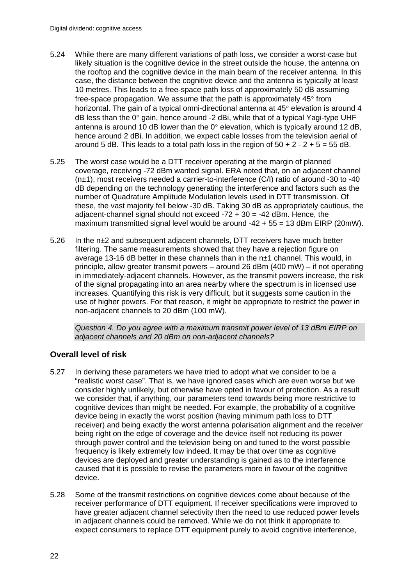- 5.24 While there are many different variations of path loss, we consider a worst-case but likely situation is the cognitive device in the street outside the house, the antenna on the rooftop and the cognitive device in the main beam of the receiver antenna. In this case, the distance between the cognitive device and the antenna is typically at least 10 metres. This leads to a free-space path loss of approximately 50 dB assuming free-space propagation. We assume that the path is approximately  $45^\circ$  from horizontal. The gain of a typical omni-directional antenna at  $45^\circ$  elevation is around  $4$  $dB$  less than the 0 $^{\circ}$  gain, hence around -2 dBi, while that of a typical Yagi-type UHF antenna is around 10 dB lower than the  $0^{\circ}$  elevation, which is typically around 12 dB, hence around 2 dBi. In addition, we expect cable losses from the television aerial of around 5 dB. This leads to a total path loss in the region of  $50 + 2 - 2 + 5 = 55$  dB.
- 5.25 The worst case would be a DTT receiver operating at the margin of planned coverage, receiving -72 dBm wanted signal. ERA noted that, on an adjacent channel (n±1), most receivers needed a carrier-to-interference (C/I) ratio of around -30 to -40 dB depending on the technology generating the interference and factors such as the number of Quadrature Amplitude Modulation levels used in DTT transmission. Of these, the vast majority fell below -30 dB. Taking 30 dB as appropriately cautious, the adjacent-channel signal should not exceed  $-72 + 30 = -42$  dBm. Hence, the maximum transmitted signal level would be around  $-42 + 55 = 13$  dBm EIRP (20mW).
- 5.26 In the n±2 and subsequent adjacent channels, DTT receivers have much better filtering. The same measurements showed that they have a rejection figure on average 13-16 dB better in these channels than in the n±1 channel. This would, in principle, allow greater transmit powers – around 26 dBm (400 mW) – if not operating in immediately-adjacent channels. However, as the transmit powers increase, the risk of the signal propagating into an area nearby where the spectrum is in licensed use increases. Quantifying this risk is very difficult, but it suggests some caution in the use of higher powers. For that reason, it might be appropriate to restrict the power in non-adjacent channels to 20 dBm (100 mW).

*Question 4. Do you agree with a maximum transmit power level of 13 dBm EIRP on adjacent channels and 20 dBm on non-adjacent channels?* 

### **Overall level of risk**

- 5.27 In deriving these parameters we have tried to adopt what we consider to be a "realistic worst case". That is, we have ignored cases which are even worse but we consider highly unlikely, but otherwise have opted in favour of protection. As a result we consider that, if anything, our parameters tend towards being more restrictive to cognitive devices than might be needed. For example, the probability of a cognitive device being in exactly the worst position (having minimum path loss to DTT receiver) and being exactly the worst antenna polarisation alignment and the receiver being right on the edge of coverage and the device itself not reducing its power through power control and the television being on and tuned to the worst possible frequency is likely extremely low indeed. It may be that over time as cognitive devices are deployed and greater understanding is gained as to the interference caused that it is possible to revise the parameters more in favour of the cognitive device.
- 5.28 Some of the transmit restrictions on cognitive devices come about because of the receiver performance of DTT equipment. If receiver specifications were improved to have greater adjacent channel selectivity then the need to use reduced power levels in adjacent channels could be removed. While we do not think it appropriate to expect consumers to replace DTT equipment purely to avoid cognitive interference,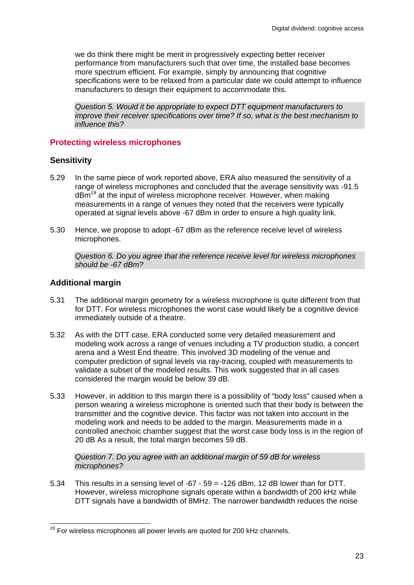we do think there might be merit in progressively expecting better receiver performance from manufacturers such that over time, the installed base becomes more spectrum efficient. For example, simply by announcing that cognitive specifications were to be relaxed from a particular date we could attempt to influence manufacturers to design their equipment to accommodate this.

*Question 5. Would it be appropriate to expect DTT equipment manufacturers to improve their receiver specifications over time? If so, what is the best mechanism to influence this?* 

#### **Protecting wireless microphones**

#### **Sensitivity**

- 5.29 In the same piece of work reported above, ERA also measured the sensitivity of a range of wireless microphones and concluded that the average sensitivity was -91.5 dBm<sup>19</sup> at the input of wireless microphone receiver. However, when making measurements in a range of venues they noted that the receivers were typically operated at signal levels above -67 dBm in order to ensure a high quality link.
- 5.30 Hence, we propose to adopt -67 dBm as the reference receive level of wireless microphones.

*Question 6. Do you agree that the reference receive level for wireless microphones should be -67 dBm?* 

#### **Additional margin**

- 5.31 The additional margin geometry for a wireless microphone is quite different from that for DTT. For wireless microphones the worst case would likely be a cognitive device immediately outside of a theatre.
- 5.32 As with the DTT case, ERA conducted some very detailed measurement and modeling work across a range of venues including a TV production studio, a concert arena and a West End theatre. This involved 3D modeling of the venue and computer prediction of signal levels via ray-tracing, coupled with measurements to validate a subset of the modeled results. This work suggested that in all cases considered the margin would be below 39 dB.
- 5.33 However, in addition to this margin there is a possibility of "body loss" caused when a person wearing a wireless microphone is oriented such that their body is between the transmitter and the cognitive device. This factor was not taken into account in the modeling work and needs to be added to the margin. Measurements made in a controlled anechoic chamber suggest that the worst case body loss is in the region of 20 dB As a result, the total margin becomes 59 dB.

*Question 7. Do you agree with an additional margin of 59 dB for wireless microphones?* 

5.34 This results in a sensing level of -67 - 59 = -126 dBm, 12 dB lower than for DTT. However, wireless microphone signals operate within a bandwidth of 200 kHz while DTT signals have a bandwidth of 8MHz. The narrower bandwidth reduces the noise

 $\overline{a}$  $19$  For wireless microphones all power levels are quoted for 200 kHz channels.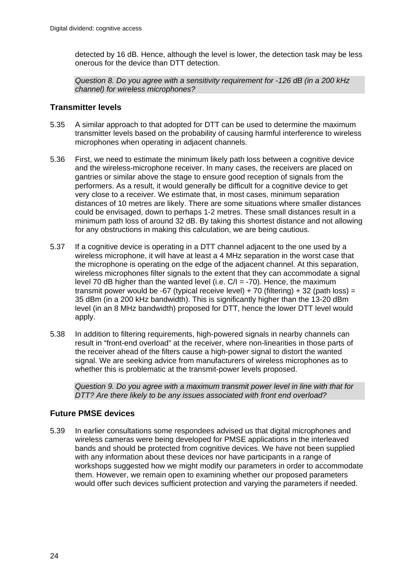detected by 16 dB. Hence, although the level is lower, the detection task may be less onerous for the device than DTT detection.

*Question 8. Do you agree with a sensitivity requirement for -126 dB (in a 200 kHz channel) for wireless microphones?* 

#### **Transmitter levels**

- 5.35 A similar approach to that adopted for DTT can be used to determine the maximum transmitter levels based on the probability of causing harmful interference to wireless microphones when operating in adjacent channels.
- 5.36 First, we need to estimate the minimum likely path loss between a cognitive device and the wireless-microphone receiver. In many cases, the receivers are placed on gantries or similar above the stage to ensure good reception of signals from the performers. As a result, it would generally be difficult for a cognitive device to get very close to a receiver. We estimate that, in most cases, minimum separation distances of 10 metres are likely. There are some situations where smaller distances could be envisaged, down to perhaps 1-2 metres. These small distances result in a minimum path loss of around 32 dB. By taking this shortest distance and not allowing for any obstructions in making this calculation, we are being cautious.
- 5.37 If a cognitive device is operating in a DTT channel adjacent to the one used by a wireless microphone, it will have at least a 4 MHz separation in the worst case that the microphone is operating on the edge of the adjacent channel. At this separation, wireless microphones filter signals to the extent that they can accommodate a signal level 70 dB higher than the wanted level (i.e.  $C/I = -70$ ). Hence, the maximum transmit power would be -67 (typical receive level) + 70 (filtering) + 32 (path loss) = 35 dBm (in a 200 kHz bandwidth). This is significantly higher than the 13-20 dBm level (in an 8 MHz bandwidth) proposed for DTT, hence the lower DTT level would apply.
- 5.38 In addition to filtering requirements, high-powered signals in nearby channels can result in "front-end overload" at the receiver, where non-linearities in those parts of the receiver ahead of the filters cause a high-power signal to distort the wanted signal. We are seeking advice from manufacturers of wireless microphones as to whether this is problematic at the transmit-power levels proposed.

*Question 9. Do you agree with a maximum transmit power level in line with that for DTT? Are there likely to be any issues associated with front end overload?* 

### **Future PMSE devices**

5.39 In earlier consultations some respondees advised us that digital microphones and wireless cameras were being developed for PMSE applications in the interleaved bands and should be protected from cognitive devices. We have not been supplied with any information about these devices nor have participants in a range of workshops suggested how we might modify our parameters in order to accommodate them. However, we remain open to examining whether our proposed parameters would offer such devices sufficient protection and varying the parameters if needed.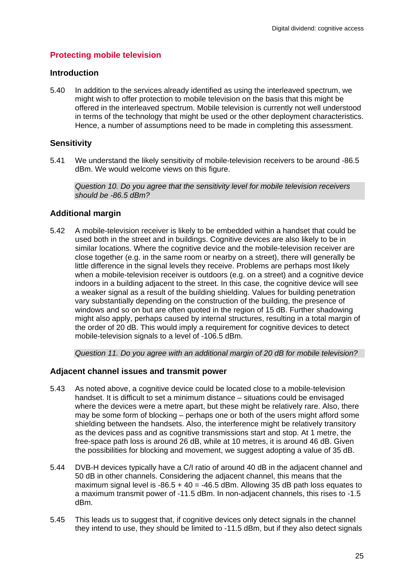#### **Protecting mobile television**

#### **Introduction**

5.40 In addition to the services already identified as using the interleaved spectrum, we might wish to offer protection to mobile television on the basis that this might be offered in the interleaved spectrum. Mobile television is currently not well understood in terms of the technology that might be used or the other deployment characteristics. Hence, a number of assumptions need to be made in completing this assessment.

#### **Sensitivity**

5.41 We understand the likely sensitivity of mobile-television receivers to be around -86.5 dBm. We would welcome views on this figure.

*Question 10. Do you agree that the sensitivity level for mobile television receivers should be -86.5 dBm?* 

#### **Additional margin**

5.42 A mobile-television receiver is likely to be embedded within a handset that could be used both in the street and in buildings. Cognitive devices are also likely to be in similar locations. Where the cognitive device and the mobile-television receiver are close together (e.g. in the same room or nearby on a street), there will generally be little difference in the signal levels they receive. Problems are perhaps most likely when a mobile-television receiver is outdoors (e.g. on a street) and a cognitive device indoors in a building adjacent to the street. In this case, the cognitive device will see a weaker signal as a result of the building shielding. Values for building penetration vary substantially depending on the construction of the building, the presence of windows and so on but are often quoted in the region of 15 dB. Further shadowing might also apply, perhaps caused by internal structures, resulting in a total margin of the order of 20 dB. This would imply a requirement for cognitive devices to detect mobile-television signals to a level of -106.5 dBm.

*Question 11. Do you agree with an additional margin of 20 dB for mobile television?* 

#### **Adjacent channel issues and transmit power**

- 5.43 As noted above, a cognitive device could be located close to a mobile-television handset. It is difficult to set a minimum distance – situations could be envisaged where the devices were a metre apart, but these might be relatively rare. Also, there may be some form of blocking – perhaps one or both of the users might afford some shielding between the handsets. Also, the interference might be relatively transitory as the devices pass and as cognitive transmissions start and stop. At 1 metre, the free-space path loss is around 26 dB, while at 10 metres, it is around 46 dB. Given the possibilities for blocking and movement, we suggest adopting a value of 35 dB.
- 5.44 DVB-H devices typically have a C/I ratio of around 40 dB in the adjacent channel and 50 dB in other channels. Considering the adjacent channel, this means that the maximum signal level is  $-86.5 + 40 = -46.5$  dBm. Allowing 35 dB path loss equates to a maximum transmit power of -11.5 dBm. In non-adjacent channels, this rises to -1.5 dBm.
- 5.45 This leads us to suggest that, if cognitive devices only detect signals in the channel they intend to use, they should be limited to -11.5 dBm, but if they also detect signals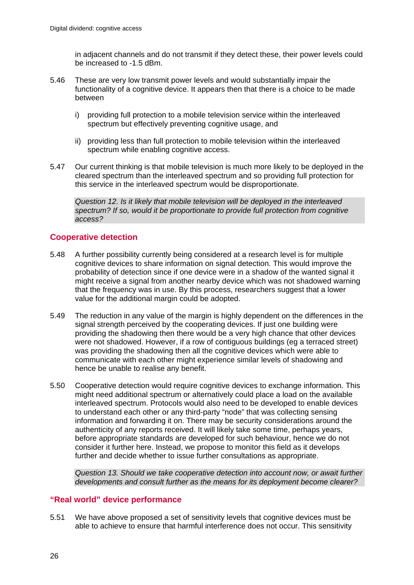in adjacent channels and do not transmit if they detect these, their power levels could be increased to -1.5 dBm.

- 5.46 These are very low transmit power levels and would substantially impair the functionality of a cognitive device. It appears then that there is a choice to be made between
	- i) providing full protection to a mobile television service within the interleaved spectrum but effectively preventing cognitive usage, and
	- ii) providing less than full protection to mobile television within the interleaved spectrum while enabling cognitive access.
- 5.47 Our current thinking is that mobile television is much more likely to be deployed in the cleared spectrum than the interleaved spectrum and so providing full protection for this service in the interleaved spectrum would be disproportionate.

*Question 12. Is it likely that mobile television will be deployed in the interleaved spectrum? If so, would it be proportionate to provide full protection from cognitive access?* 

#### **Cooperative detection**

- 5.48 A further possibility currently being considered at a research level is for multiple cognitive devices to share information on signal detection. This would improve the probability of detection since if one device were in a shadow of the wanted signal it might receive a signal from another nearby device which was not shadowed warning that the frequency was in use. By this process, researchers suggest that a lower value for the additional margin could be adopted.
- 5.49 The reduction in any value of the margin is highly dependent on the differences in the signal strength perceived by the cooperating devices. If just one building were providing the shadowing then there would be a very high chance that other devices were not shadowed. However, if a row of contiguous buildings (eg a terraced street) was providing the shadowing then all the cognitive devices which were able to communicate with each other might experience similar levels of shadowing and hence be unable to realise any benefit.
- 5.50 Cooperative detection would require cognitive devices to exchange information. This might need additional spectrum or alternatively could place a load on the available interleaved spectrum. Protocols would also need to be developed to enable devices to understand each other or any third-party "node" that was collecting sensing information and forwarding it on. There may be security considerations around the authenticity of any reports received. It will likely take some time, perhaps years, before appropriate standards are developed for such behaviour, hence we do not consider it further here. Instead, we propose to monitor this field as it develops further and decide whether to issue further consultations as appropriate.

*Question 13. Should we take cooperative detection into account now, or await further developments and consult further as the means for its deployment become clearer?* 

#### **"Real world" device performance**

5.51 We have above proposed a set of sensitivity levels that cognitive devices must be able to achieve to ensure that harmful interference does not occur. This sensitivity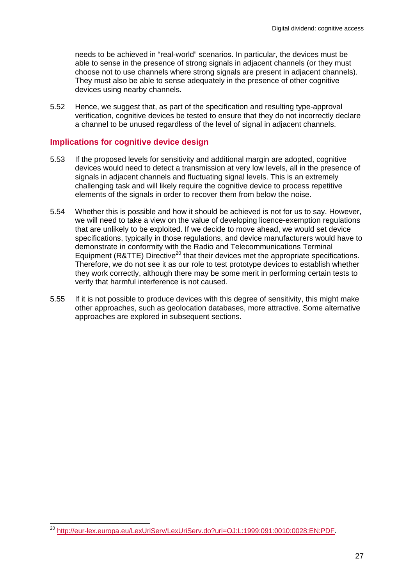needs to be achieved in "real-world" scenarios. In particular, the devices must be able to sense in the presence of strong signals in adjacent channels (or they must choose not to use channels where strong signals are present in adjacent channels). They must also be able to sense adequately in the presence of other cognitive devices using nearby channels.

5.52 Hence, we suggest that, as part of the specification and resulting type-approval verification, cognitive devices be tested to ensure that they do not incorrectly declare a channel to be unused regardless of the level of signal in adjacent channels.

#### **Implications for cognitive device design**

- 5.53 If the proposed levels for sensitivity and additional margin are adopted, cognitive devices would need to detect a transmission at very low levels, all in the presence of signals in adjacent channels and fluctuating signal levels. This is an extremely challenging task and will likely require the cognitive device to process repetitive elements of the signals in order to recover them from below the noise.
- 5.54 Whether this is possible and how it should be achieved is not for us to say. However, we will need to take a view on the value of developing licence-exemption regulations that are unlikely to be exploited. If we decide to move ahead, we would set device specifications, typically in those regulations, and device manufacturers would have to demonstrate in conformity with the Radio and Telecommunications Terminal Equipment (R&TTE) Directive<sup>20</sup> that their devices met the appropriate specifications. Therefore, we do not see it as our role to test prototype devices to establish whether they work correctly, although there may be some merit in performing certain tests to verify that harmful interference is not caused.
- 5.55 If it is not possible to produce devices with this degree of sensitivity, this might make other approaches, such as geolocation databases, more attractive. Some alternative approaches are explored in subsequent sections.

 $\overline{a}$ <sup>20</sup> http://eur-lex.europa.eu/LexUriServ/LexUriServ.do?uri=OJ:L:1999:091:0010:0028:EN:PDF.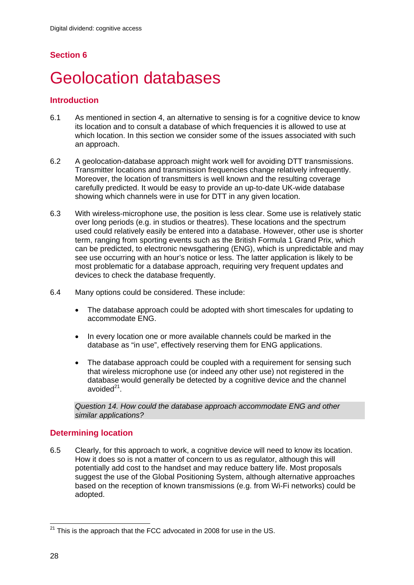## **Section 6**

## 6 Geolocation databases

#### **Introduction**

- 6.1 As mentioned in section 4, an alternative to sensing is for a cognitive device to know its location and to consult a database of which frequencies it is allowed to use at which location. In this section we consider some of the issues associated with such an approach.
- 6.2 A geolocation-database approach might work well for avoiding DTT transmissions. Transmitter locations and transmission frequencies change relatively infrequently. Moreover, the location of transmitters is well known and the resulting coverage carefully predicted. It would be easy to provide an up-to-date UK-wide database showing which channels were in use for DTT in any given location.
- 6.3 With wireless-microphone use, the position is less clear. Some use is relatively static over long periods (e.g. in studios or theatres). These locations and the spectrum used could relatively easily be entered into a database. However, other use is shorter term, ranging from sporting events such as the British Formula 1 Grand Prix, which can be predicted, to electronic newsgathering (ENG), which is unpredictable and may see use occurring with an hour's notice or less. The latter application is likely to be most problematic for a database approach, requiring very frequent updates and devices to check the database frequently.
- 6.4 Many options could be considered. These include:
	- The database approach could be adopted with short timescales for updating to accommodate ENG.
	- In every location one or more available channels could be marked in the database as "in use", effectively reserving them for ENG applications.
	- The database approach could be coupled with a requirement for sensing such that wireless microphone use (or indeed any other use) not registered in the database would generally be detected by a cognitive device and the channel avoided $21$ .

*Question 14. How could the database approach accommodate ENG and other similar applications?* 

### **Determining location**

6.5 Clearly, for this approach to work, a cognitive device will need to know its location. How it does so is not a matter of concern to us as regulator, although this will potentially add cost to the handset and may reduce battery life. Most proposals suggest the use of the Global Positioning System, although alternative approaches based on the reception of known transmissions (e.g. from Wi-Fi networks) could be adopted.

 $\overline{a}$  $21$  This is the approach that the FCC advocated in 2008 for use in the US.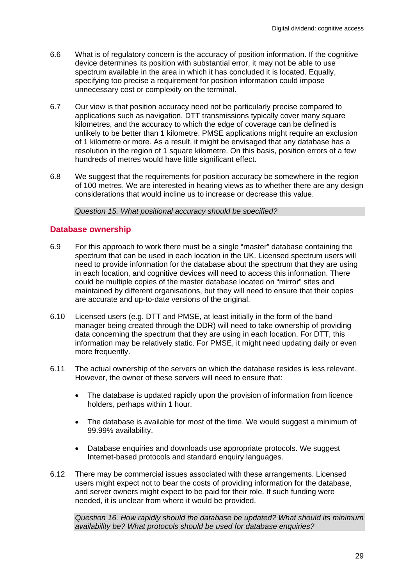- 6.6 What is of regulatory concern is the accuracy of position information. If the cognitive device determines its position with substantial error, it may not be able to use spectrum available in the area in which it has concluded it is located. Equally, specifying too precise a requirement for position information could impose unnecessary cost or complexity on the terminal.
- 6.7 Our view is that position accuracy need not be particularly precise compared to applications such as navigation. DTT transmissions typically cover many square kilometres, and the accuracy to which the edge of coverage can be defined is unlikely to be better than 1 kilometre. PMSE applications might require an exclusion of 1 kilometre or more. As a result, it might be envisaged that any database has a resolution in the region of 1 square kilometre. On this basis, position errors of a few hundreds of metres would have little significant effect.
- 6.8 We suggest that the requirements for position accuracy be somewhere in the region of 100 metres. We are interested in hearing views as to whether there are any design considerations that would incline us to increase or decrease this value.

*Question 15. What positional accuracy should be specified?* 

#### **Database ownership**

- 6.9 For this approach to work there must be a single "master" database containing the spectrum that can be used in each location in the UK. Licensed spectrum users will need to provide information for the database about the spectrum that they are using in each location, and cognitive devices will need to access this information. There could be multiple copies of the master database located on "mirror" sites and maintained by different organisations, but they will need to ensure that their copies are accurate and up-to-date versions of the original.
- 6.10 Licensed users (e.g. DTT and PMSE, at least initially in the form of the band manager being created through the DDR) will need to take ownership of providing data concerning the spectrum that they are using in each location. For DTT, this information may be relatively static. For PMSE, it might need updating daily or even more frequently.
- 6.11 The actual ownership of the servers on which the database resides is less relevant. However, the owner of these servers will need to ensure that:
	- The database is updated rapidly upon the provision of information from licence holders, perhaps within 1 hour.
	- The database is available for most of the time. We would suggest a minimum of 99.99% availability.
	- Database enquiries and downloads use appropriate protocols. We suggest Internet-based protocols and standard enquiry languages.
- 6.12 There may be commercial issues associated with these arrangements. Licensed users might expect not to bear the costs of providing information for the database, and server owners might expect to be paid for their role. If such funding were needed, it is unclear from where it would be provided.

*Question 16. How rapidly should the database be updated? What should its minimum availability be? What protocols should be used for database enquiries?*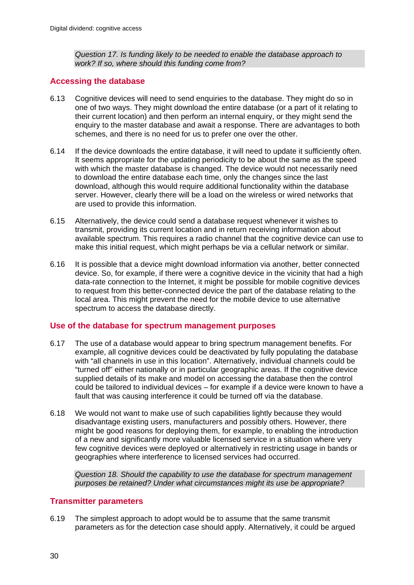*Question 17. Is funding likely to be needed to enable the database approach to work? If so, where should this funding come from?* 

#### **Accessing the database**

- 6.13 Cognitive devices will need to send enquiries to the database. They might do so in one of two ways. They might download the entire database (or a part of it relating to their current location) and then perform an internal enquiry, or they might send the enquiry to the master database and await a response. There are advantages to both schemes, and there is no need for us to prefer one over the other.
- 6.14 If the device downloads the entire database, it will need to update it sufficiently often. It seems appropriate for the updating periodicity to be about the same as the speed with which the master database is changed. The device would not necessarily need to download the entire database each time, only the changes since the last download, although this would require additional functionality within the database server. However, clearly there will be a load on the wireless or wired networks that are used to provide this information.
- 6.15 Alternatively, the device could send a database request whenever it wishes to transmit, providing its current location and in return receiving information about available spectrum. This requires a radio channel that the cognitive device can use to make this initial request, which might perhaps be via a cellular network or similar.
- 6.16 It is possible that a device might download information via another, better connected device. So, for example, if there were a cognitive device in the vicinity that had a high data-rate connection to the Internet, it might be possible for mobile cognitive devices to request from this better-connected device the part of the database relating to the local area. This might prevent the need for the mobile device to use alternative spectrum to access the database directly.

#### **Use of the database for spectrum management purposes**

- 6.17 The use of a database would appear to bring spectrum management benefits. For example, all cognitive devices could be deactivated by fully populating the database with "all channels in use in this location". Alternatively, individual channels could be "turned off" either nationally or in particular geographic areas. If the cognitive device supplied details of its make and model on accessing the database then the control could be tailored to individual devices – for example if a device were known to have a fault that was causing interference it could be turned off via the database.
- 6.18 We would not want to make use of such capabilities lightly because they would disadvantage existing users, manufacturers and possibly others. However, there might be good reasons for deploying them, for example, to enabling the introduction of a new and significantly more valuable licensed service in a situation where very few cognitive devices were deployed or alternatively in restricting usage in bands or geographies where interference to licensed services had occurred.

*Question 18. Should the capability to use the database for spectrum management purposes be retained? Under what circumstances might its use be appropriate?* 

#### **Transmitter parameters**

6.19 The simplest approach to adopt would be to assume that the same transmit parameters as for the detection case should apply. Alternatively, it could be argued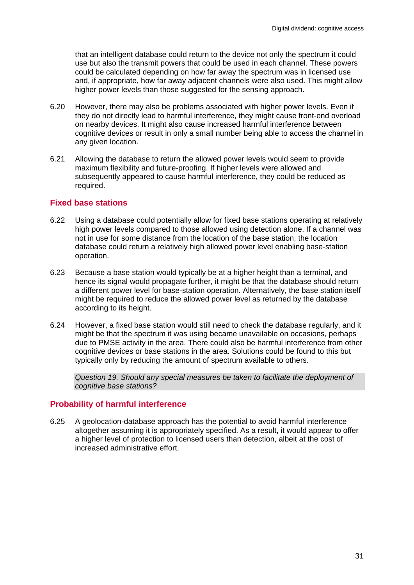that an intelligent database could return to the device not only the spectrum it could use but also the transmit powers that could be used in each channel. These powers could be calculated depending on how far away the spectrum was in licensed use and, if appropriate, how far away adjacent channels were also used. This might allow higher power levels than those suggested for the sensing approach.

- 6.20 However, there may also be problems associated with higher power levels. Even if they do not directly lead to harmful interference, they might cause front-end overload on nearby devices. It might also cause increased harmful interference between cognitive devices or result in only a small number being able to access the channel in any given location.
- 6.21 Allowing the database to return the allowed power levels would seem to provide maximum flexibility and future-proofing. If higher levels were allowed and subsequently appeared to cause harmful interference, they could be reduced as required.

#### **Fixed base stations**

- 6.22 Using a database could potentially allow for fixed base stations operating at relatively high power levels compared to those allowed using detection alone. If a channel was not in use for some distance from the location of the base station, the location database could return a relatively high allowed power level enabling base-station operation.
- 6.23 Because a base station would typically be at a higher height than a terminal, and hence its signal would propagate further, it might be that the database should return a different power level for base-station operation. Alternatively, the base station itself might be required to reduce the allowed power level as returned by the database according to its height.
- 6.24 However, a fixed base station would still need to check the database regularly, and it might be that the spectrum it was using became unavailable on occasions, perhaps due to PMSE activity in the area. There could also be harmful interference from other cognitive devices or base stations in the area. Solutions could be found to this but typically only by reducing the amount of spectrum available to others.

*Question 19. Should any special measures be taken to facilitate the deployment of cognitive base stations?* 

#### **Probability of harmful interference**

6.25 A geolocation-database approach has the potential to avoid harmful interference altogether assuming it is appropriately specified. As a result, it would appear to offer a higher level of protection to licensed users than detection, albeit at the cost of increased administrative effort.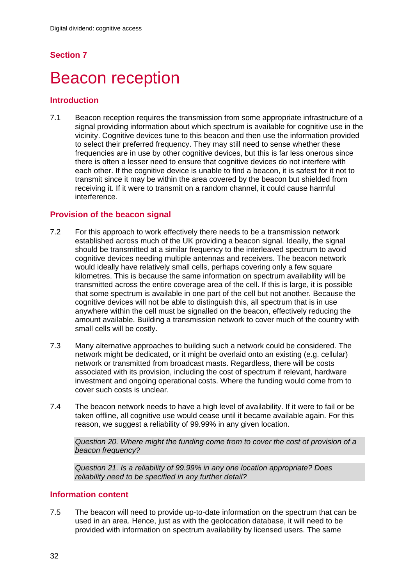## **Section 7**

## **Beacon reception**

#### **Introduction**

7.1 Beacon reception requires the transmission from some appropriate infrastructure of a signal providing information about which spectrum is available for cognitive use in the vicinity. Cognitive devices tune to this beacon and then use the information provided to select their preferred frequency. They may still need to sense whether these frequencies are in use by other cognitive devices, but this is far less onerous since there is often a lesser need to ensure that cognitive devices do not interfere with each other. If the cognitive device is unable to find a beacon, it is safest for it not to transmit since it may be within the area covered by the beacon but shielded from receiving it. If it were to transmit on a random channel, it could cause harmful interference.

#### **Provision of the beacon signal**

- 7.2 For this approach to work effectively there needs to be a transmission network established across much of the UK providing a beacon signal. Ideally, the signal should be transmitted at a similar frequency to the interleaved spectrum to avoid cognitive devices needing multiple antennas and receivers. The beacon network would ideally have relatively small cells, perhaps covering only a few square kilometres. This is because the same information on spectrum availability will be transmitted across the entire coverage area of the cell. If this is large, it is possible that some spectrum is available in one part of the cell but not another. Because the cognitive devices will not be able to distinguish this, all spectrum that is in use anywhere within the cell must be signalled on the beacon, effectively reducing the amount available. Building a transmission network to cover much of the country with small cells will be costly.
- 7.3 Many alternative approaches to building such a network could be considered. The network might be dedicated, or it might be overlaid onto an existing (e.g. cellular) network or transmitted from broadcast masts. Regardless, there will be costs associated with its provision, including the cost of spectrum if relevant, hardware investment and ongoing operational costs. Where the funding would come from to cover such costs is unclear.
- 7.4 The beacon network needs to have a high level of availability. If it were to fail or be taken offline, all cognitive use would cease until it became available again. For this reason, we suggest a reliability of 99.99% in any given location.

*Question 20. Where might the funding come from to cover the cost of provision of a beacon frequency?* 

*Question 21. Is a reliability of 99.99% in any one location appropriate? Does reliability need to be specified in any further detail?* 

#### **Information content**

7.5 The beacon will need to provide up-to-date information on the spectrum that can be used in an area. Hence, just as with the geolocation database, it will need to be provided with information on spectrum availability by licensed users. The same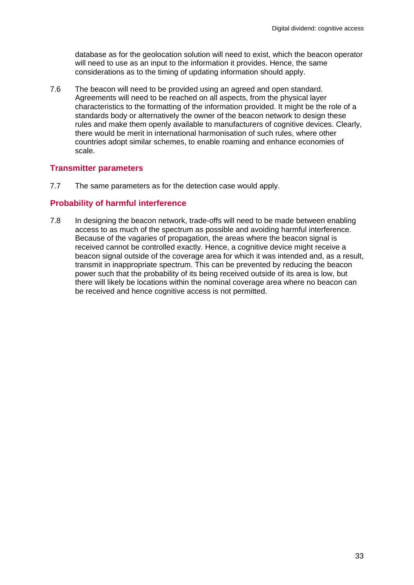database as for the geolocation solution will need to exist, which the beacon operator will need to use as an input to the information it provides. Hence, the same considerations as to the timing of updating information should apply.

7.6 The beacon will need to be provided using an agreed and open standard. Agreements will need to be reached on all aspects, from the physical layer characteristics to the formatting of the information provided. It might be the role of a standards body or alternatively the owner of the beacon network to design these rules and make them openly available to manufacturers of cognitive devices. Clearly, there would be merit in international harmonisation of such rules, where other countries adopt similar schemes, to enable roaming and enhance economies of scale.

#### **Transmitter parameters**

7.7 The same parameters as for the detection case would apply.

#### **Probability of harmful interference**

7.8 In designing the beacon network, trade-offs will need to be made between enabling access to as much of the spectrum as possible and avoiding harmful interference. Because of the vagaries of propagation, the areas where the beacon signal is received cannot be controlled exactly. Hence, a cognitive device might receive a beacon signal outside of the coverage area for which it was intended and, as a result, transmit in inappropriate spectrum. This can be prevented by reducing the beacon power such that the probability of its being received outside of its area is low, but there will likely be locations within the nominal coverage area where no beacon can be received and hence cognitive access is not permitted.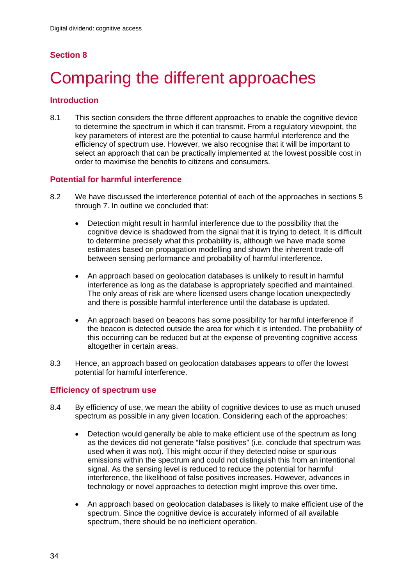## **Section 8**

# Comparing the different approaches

#### **Introduction**

8.1 This section considers the three different approaches to enable the cognitive device to determine the spectrum in which it can transmit. From a regulatory viewpoint, the key parameters of interest are the potential to cause harmful interference and the efficiency of spectrum use. However, we also recognise that it will be important to select an approach that can be practically implemented at the lowest possible cost in order to maximise the benefits to citizens and consumers.

#### **Potential for harmful interference**

- 8.2 We have discussed the interference potential of each of the approaches in sections 5 through 7. In outline we concluded that:
	- Detection might result in harmful interference due to the possibility that the cognitive device is shadowed from the signal that it is trying to detect. It is difficult to determine precisely what this probability is, although we have made some estimates based on propagation modelling and shown the inherent trade-off between sensing performance and probability of harmful interference.
	- An approach based on geolocation databases is unlikely to result in harmful interference as long as the database is appropriately specified and maintained. The only areas of risk are where licensed users change location unexpectedly and there is possible harmful interference until the database is updated.
	- An approach based on beacons has some possibility for harmful interference if the beacon is detected outside the area for which it is intended. The probability of this occurring can be reduced but at the expense of preventing cognitive access altogether in certain areas.
- 8.3 Hence, an approach based on geolocation databases appears to offer the lowest potential for harmful interference.

### **Efficiency of spectrum use**

- 8.4 By efficiency of use, we mean the ability of cognitive devices to use as much unused spectrum as possible in any given location. Considering each of the approaches:
	- Detection would generally be able to make efficient use of the spectrum as long as the devices did not generate "false positives" (i.e. conclude that spectrum was used when it was not). This might occur if they detected noise or spurious emissions within the spectrum and could not distinguish this from an intentional signal. As the sensing level is reduced to reduce the potential for harmful interference, the likelihood of false positives increases. However, advances in technology or novel approaches to detection might improve this over time.
	- An approach based on geolocation databases is likely to make efficient use of the spectrum. Since the cognitive device is accurately informed of all available spectrum, there should be no inefficient operation.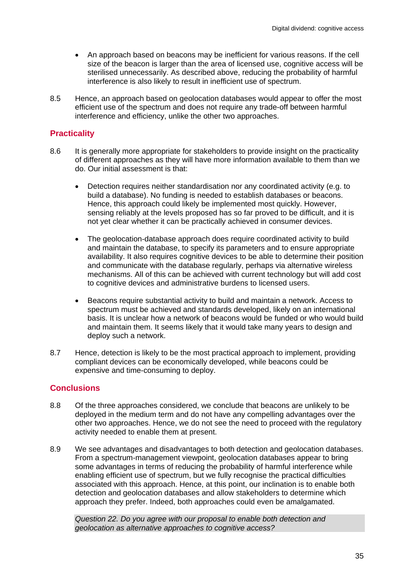- An approach based on beacons may be inefficient for various reasons. If the cell size of the beacon is larger than the area of licensed use, cognitive access will be sterilised unnecessarily. As described above, reducing the probability of harmful interference is also likely to result in inefficient use of spectrum.
- 8.5 Hence, an approach based on geolocation databases would appear to offer the most efficient use of the spectrum and does not require any trade-off between harmful interference and efficiency, unlike the other two approaches.

#### **Practicality**

- 8.6 It is generally more appropriate for stakeholders to provide insight on the practicality of different approaches as they will have more information available to them than we do. Our initial assessment is that:
	- Detection requires neither standardisation nor any coordinated activity (e.g. to build a database). No funding is needed to establish databases or beacons. Hence, this approach could likely be implemented most quickly. However, sensing reliably at the levels proposed has so far proved to be difficult, and it is not yet clear whether it can be practically achieved in consumer devices.
	- The geolocation-database approach does require coordinated activity to build and maintain the database, to specify its parameters and to ensure appropriate availability. It also requires cognitive devices to be able to determine their position and communicate with the database regularly, perhaps via alternative wireless mechanisms. All of this can be achieved with current technology but will add cost to cognitive devices and administrative burdens to licensed users.
	- Beacons require substantial activity to build and maintain a network. Access to spectrum must be achieved and standards developed, likely on an international basis. It is unclear how a network of beacons would be funded or who would build and maintain them. It seems likely that it would take many years to design and deploy such a network.
- 8.7 Hence, detection is likely to be the most practical approach to implement, providing compliant devices can be economically developed, while beacons could be expensive and time-consuming to deploy.

#### **Conclusions**

- 8.8 Of the three approaches considered, we conclude that beacons are unlikely to be deployed in the medium term and do not have any compelling advantages over the other two approaches. Hence, we do not see the need to proceed with the regulatory activity needed to enable them at present.
- 8.9 We see advantages and disadvantages to both detection and geolocation databases. From a spectrum-management viewpoint, geolocation databases appear to bring some advantages in terms of reducing the probability of harmful interference while enabling efficient use of spectrum, but we fully recognise the practical difficulties associated with this approach. Hence, at this point, our inclination is to enable both detection and geolocation databases and allow stakeholders to determine which approach they prefer. Indeed, both approaches could even be amalgamated.

*Question 22. Do you agree with our proposal to enable both detection and geolocation as alternative approaches to cognitive access?*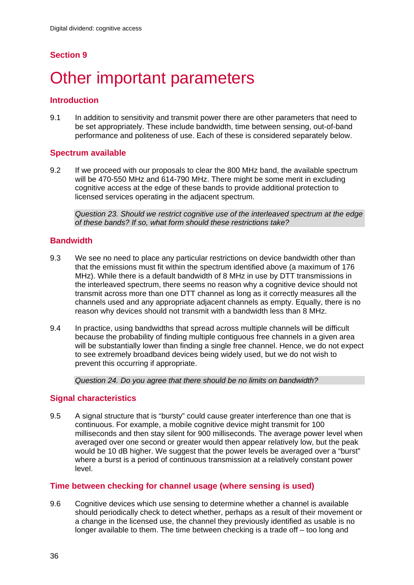## **Section 9**

# Other important parameters

#### **Introduction**

9.1 In addition to sensitivity and transmit power there are other parameters that need to be set appropriately. These include bandwidth, time between sensing, out-of-band performance and politeness of use. Each of these is considered separately below.

#### **Spectrum available**

9.2 If we proceed with our proposals to clear the 800 MHz band, the available spectrum will be 470-550 MHz and 614-790 MHz. There might be some merit in excluding cognitive access at the edge of these bands to provide additional protection to licensed services operating in the adjacent spectrum.

*Question 23. Should we restrict cognitive use of the interleaved spectrum at the edge of these bands? If so, what form should these restrictions take?* 

#### **Bandwidth**

- 9.3 We see no need to place any particular restrictions on device bandwidth other than that the emissions must fit within the spectrum identified above (a maximum of 176 MHz). While there is a default bandwidth of 8 MHz in use by DTT transmissions in the interleaved spectrum, there seems no reason why a cognitive device should not transmit across more than one DTT channel as long as it correctly measures all the channels used and any appropriate adjacent channels as empty. Equally, there is no reason why devices should not transmit with a bandwidth less than 8 MHz.
- 9.4 In practice, using bandwidths that spread across multiple channels will be difficult because the probability of finding multiple contiguous free channels in a given area will be substantially lower than finding a single free channel. Hence, we do not expect to see extremely broadband devices being widely used, but we do not wish to prevent this occurring if appropriate.

*Question 24. Do you agree that there should be no limits on bandwidth?* 

#### **Signal characteristics**

9.5 A signal structure that is "bursty" could cause greater interference than one that is continuous. For example, a mobile cognitive device might transmit for 100 milliseconds and then stay silent for 900 milliseconds. The average power level when averaged over one second or greater would then appear relatively low, but the peak would be 10 dB higher. We suggest that the power levels be averaged over a "burst" where a burst is a period of continuous transmission at a relatively constant power level.

#### **Time between checking for channel usage (where sensing is used)**

9.6 Cognitive devices which use sensing to determine whether a channel is available should periodically check to detect whether, perhaps as a result of their movement or a change in the licensed use, the channel they previously identified as usable is no longer available to them. The time between checking is a trade off – too long and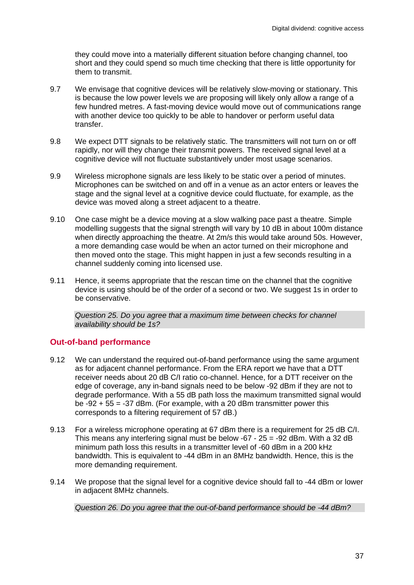they could move into a materially different situation before changing channel, too short and they could spend so much time checking that there is little opportunity for them to transmit.

- 9.7 We envisage that cognitive devices will be relatively slow-moving or stationary. This is because the low power levels we are proposing will likely only allow a range of a few hundred metres. A fast-moving device would move out of communications range with another device too quickly to be able to handover or perform useful data transfer.
- 9.8 We expect DTT signals to be relatively static. The transmitters will not turn on or off rapidly, nor will they change their transmit powers. The received signal level at a cognitive device will not fluctuate substantively under most usage scenarios.
- 9.9 Wireless microphone signals are less likely to be static over a period of minutes. Microphones can be switched on and off in a venue as an actor enters or leaves the stage and the signal level at a cognitive device could fluctuate, for example, as the device was moved along a street adjacent to a theatre.
- 9.10 One case might be a device moving at a slow walking pace past a theatre. Simple modelling suggests that the signal strength will vary by 10 dB in about 100m distance when directly approaching the theatre. At 2m/s this would take around 50s. However, a more demanding case would be when an actor turned on their microphone and then moved onto the stage. This might happen in just a few seconds resulting in a channel suddenly coming into licensed use.
- 9.11 Hence, it seems appropriate that the rescan time on the channel that the cognitive device is using should be of the order of a second or two. We suggest 1s in order to be conservative.

*Question 25. Do you agree that a maximum time between checks for channel availability should be 1s?* 

#### **Out-of-band performance**

- 9.12 We can understand the required out-of-band performance using the same argument as for adjacent channel performance. From the ERA report we have that a DTT receiver needs about 20 dB C/I ratio co-channel. Hence, for a DTT receiver on the edge of coverage, any in-band signals need to be below -92 dBm if they are not to degrade performance. With a 55 dB path loss the maximum transmitted signal would be  $-92 + 55 = -37$  dBm. (For example, with a 20 dBm transmitter power this corresponds to a filtering requirement of 57 dB.)
- 9.13 For a wireless microphone operating at 67 dBm there is a requirement for 25 dB C/I. This means any interfering signal must be below -67 - 25 = -92 dBm. With a 32 dB minimum path loss this results in a transmitter level of -60 dBm in a 200 kHz bandwidth. This is equivalent to -44 dBm in an 8MHz bandwidth. Hence, this is the more demanding requirement.
- 9.14 We propose that the signal level for a cognitive device should fall to -44 dBm or lower in adjacent 8MHz channels.

*Question 26. Do you agree that the out-of-band performance should be -44 dBm?*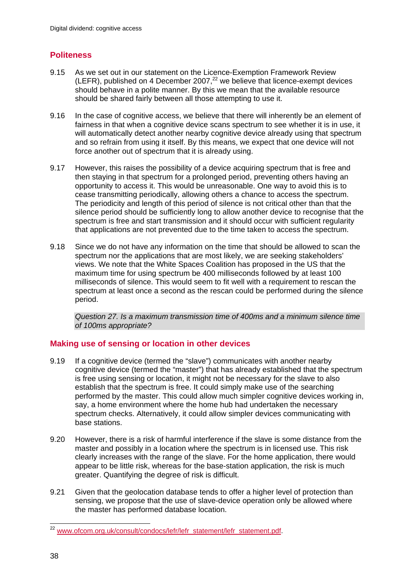### **Politeness**

- 9.15 As we set out in our statement on the Licence-Exemption Framework Review (LEFR), published on 4 December 2007, $^{22}$  we believe that licence-exempt devices should behave in a polite manner. By this we mean that the available resource should be shared fairly between all those attempting to use it.
- 9.16 In the case of cognitive access, we believe that there will inherently be an element of fairness in that when a cognitive device scans spectrum to see whether it is in use, it will automatically detect another nearby cognitive device already using that spectrum and so refrain from using it itself. By this means, we expect that one device will not force another out of spectrum that it is already using.
- 9.17 However, this raises the possibility of a device acquiring spectrum that is free and then staying in that spectrum for a prolonged period, preventing others having an opportunity to access it. This would be unreasonable. One way to avoid this is to cease transmitting periodically, allowing others a chance to access the spectrum. The periodicity and length of this period of silence is not critical other than that the silence period should be sufficiently long to allow another device to recognise that the spectrum is free and start transmission and it should occur with sufficient regularity that applications are not prevented due to the time taken to access the spectrum.
- 9.18 Since we do not have any information on the time that should be allowed to scan the spectrum nor the applications that are most likely, we are seeking stakeholders' views. We note that the White Spaces Coalition has proposed in the US that the maximum time for using spectrum be 400 milliseconds followed by at least 100 milliseconds of silence. This would seem to fit well with a requirement to rescan the spectrum at least once a second as the rescan could be performed during the silence period.

*Question 27. Is a maximum transmission time of 400ms and a minimum silence time of 100ms appropriate?* 

#### **Making use of sensing or location in other devices**

- 9.19 If a cognitive device (termed the "slave") communicates with another nearby cognitive device (termed the "master") that has already established that the spectrum is free using sensing or location, it might not be necessary for the slave to also establish that the spectrum is free. It could simply make use of the searching performed by the master. This could allow much simpler cognitive devices working in, say, a home environment where the home hub had undertaken the necessary spectrum checks. Alternatively, it could allow simpler devices communicating with base stations.
- 9.20 However, there is a risk of harmful interference if the slave is some distance from the master and possibly in a location where the spectrum is in licensed use. This risk clearly increases with the range of the slave. For the home application, there would appear to be little risk, whereas for the base-station application, the risk is much greater. Quantifying the degree of risk is difficult.
- 9.21 Given that the geolocation database tends to offer a higher level of protection than sensing, we propose that the use of slave-device operation only be allowed where the master has performed database location.

 $\overline{a}$ <sup>22</sup> www.ofcom.org.uk/consult/condocs/lefr/lefr\_statement/lefr\_statement.pdf.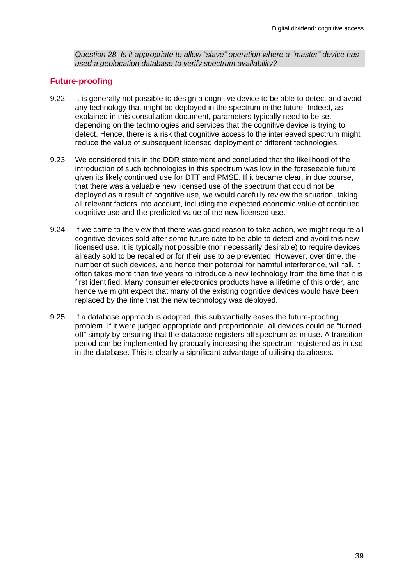*Question 28. Is it appropriate to allow "slave" operation where a "master" device has used a geolocation database to verify spectrum availability?* 

#### **Future-proofing**

- 9.22 It is generally not possible to design a cognitive device to be able to detect and avoid any technology that might be deployed in the spectrum in the future. Indeed, as explained in this consultation document, parameters typically need to be set depending on the technologies and services that the cognitive device is trying to detect. Hence, there is a risk that cognitive access to the interleaved spectrum might reduce the value of subsequent licensed deployment of different technologies.
- 9.23 We considered this in the DDR statement and concluded that the likelihood of the introduction of such technologies in this spectrum was low in the foreseeable future given its likely continued use for DTT and PMSE. If it became clear, in due course, that there was a valuable new licensed use of the spectrum that could not be deployed as a result of cognitive use, we would carefully review the situation, taking all relevant factors into account, including the expected economic value of continued cognitive use and the predicted value of the new licensed use.
- 9.24 If we came to the view that there was good reason to take action, we might require all cognitive devices sold after some future date to be able to detect and avoid this new licensed use. It is typically not possible (nor necessarily desirable) to require devices already sold to be recalled or for their use to be prevented. However, over time, the number of such devices, and hence their potential for harmful interference, will fall. It often takes more than five years to introduce a new technology from the time that it is first identified. Many consumer electronics products have a lifetime of this order, and hence we might expect that many of the existing cognitive devices would have been replaced by the time that the new technology was deployed.
- 9.25 If a database approach is adopted, this substantially eases the future-proofing problem. If it were judged appropriate and proportionate, all devices could be "turned off" simply by ensuring that the database registers all spectrum as in use. A transition period can be implemented by gradually increasing the spectrum registered as in use in the database. This is clearly a significant advantage of utilising databases.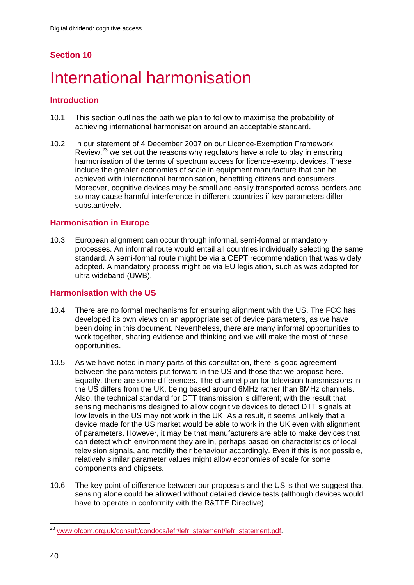## **Section 10**

## International harmonisation

#### **Introduction**

- 10.1 This section outlines the path we plan to follow to maximise the probability of achieving international harmonisation around an acceptable standard.
- 10.2 In our statement of 4 December 2007 on our Licence-Exemption Framework Review, $^{23}$  we set out the reasons why regulators have a role to play in ensuring harmonisation of the terms of spectrum access for licence-exempt devices. These include the greater economies of scale in equipment manufacture that can be achieved with international harmonisation, benefiting citizens and consumers. Moreover, cognitive devices may be small and easily transported across borders and so may cause harmful interference in different countries if key parameters differ substantively.

#### **Harmonisation in Europe**

10.3 European alignment can occur through informal, semi-formal or mandatory processes. An informal route would entail all countries individually selecting the same standard. A semi-formal route might be via a CEPT recommendation that was widely adopted. A mandatory process might be via EU legislation, such as was adopted for ultra wideband (UWB).

#### **Harmonisation with the US**

- 10.4 There are no formal mechanisms for ensuring alignment with the US. The FCC has developed its own views on an appropriate set of device parameters, as we have been doing in this document. Nevertheless, there are many informal opportunities to work together, sharing evidence and thinking and we will make the most of these opportunities.
- 10.5 As we have noted in many parts of this consultation, there is good agreement between the parameters put forward in the US and those that we propose here. Equally, there are some differences. The channel plan for television transmissions in the US differs from the UK, being based around 6MHz rather than 8MHz channels. Also, the technical standard for DTT transmission is different; with the result that sensing mechanisms designed to allow cognitive devices to detect DTT signals at low levels in the US may not work in the UK. As a result, it seems unlikely that a device made for the US market would be able to work in the UK even with alignment of parameters. However, it may be that manufacturers are able to make devices that can detect which environment they are in, perhaps based on characteristics of local television signals, and modify their behaviour accordingly. Even if this is not possible, relatively similar parameter values might allow economies of scale for some components and chipsets.
- 10.6 The key point of difference between our proposals and the US is that we suggest that sensing alone could be allowed without detailed device tests (although devices would have to operate in conformity with the R&TTE Directive).

 $\overline{a}$ <sup>23</sup> www.ofcom.org.uk/consult/condocs/lefr/lefr\_statement/lefr\_statement.pdf.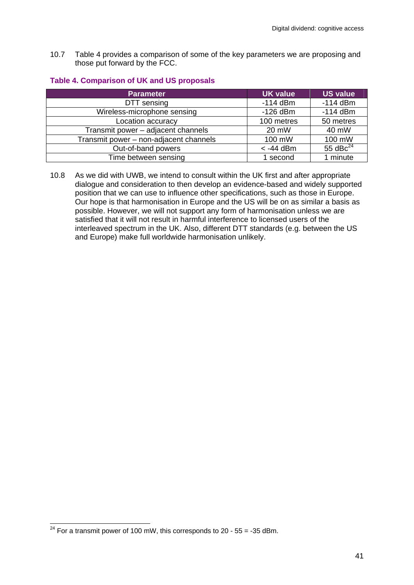10.7 Table 4 provides a comparison of some of the key parameters we are proposing and those put forward by the FCC.

#### **Table 4. Comparison of UK and US proposals**

| <b>Parameter</b>                       | <b>UK value</b> | <b>US value</b> |
|----------------------------------------|-----------------|-----------------|
| DTT sensing                            | $-114$ dBm      | $-114$ dBm      |
| Wireless-microphone sensing            | $-126$ dBm      | $-114$ dBm      |
| Location accuracy                      | 100 metres      | 50 metres       |
| Transmit power - adjacent channels     | 20 mW           | 40 mW           |
| Transmit power - non-adjacent channels | 100 mW          | 100 mW          |
| Out-of-band powers                     | $<$ -44 dBm     | 55 $dBc24$      |
| Time between sensing                   | 1 second        | 1 minute        |

10.8 As we did with UWB, we intend to consult within the UK first and after appropriate dialogue and consideration to then develop an evidence-based and widely supported position that we can use to influence other specifications, such as those in Europe. Our hope is that harmonisation in Europe and the US will be on as similar a basis as possible. However, we will not support any form of harmonisation unless we are satisfied that it will not result in harmful interference to licensed users of the interleaved spectrum in the UK. Also, different DTT standards (e.g. between the US and Europe) make full worldwide harmonisation unlikely.

 $\overline{a}$ 

 $^{24}$  For a transmit power of 100 mW, this corresponds to 20 - 55 = -35 dBm.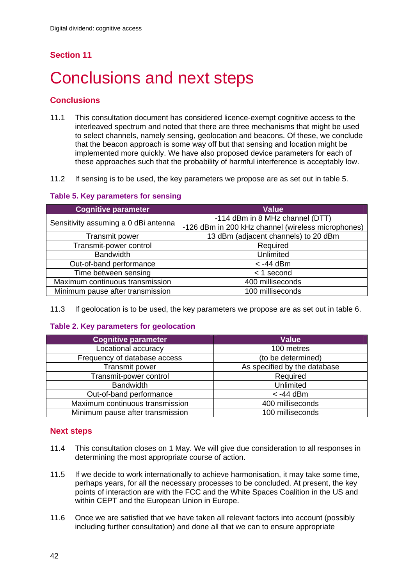## **Section 11**

# Conclusions and next steps

### **Conclusions**

- 11.1 This consultation document has considered licence-exempt cognitive access to the interleaved spectrum and noted that there are three mechanisms that might be used to select channels, namely sensing, geolocation and beacons. Of these, we conclude that the beacon approach is some way off but that sensing and location might be implemented more quickly. We have also proposed device parameters for each of these approaches such that the probability of harmful interference is acceptably low.
- 11.2 If sensing is to be used, the key parameters we propose are as set out in table 5.

#### **Table 5. Key parameters for sensing**

| <b>Cognitive parameter</b>           | <b>Value</b>                                       |
|--------------------------------------|----------------------------------------------------|
| Sensitivity assuming a 0 dBi antenna | -114 dBm in 8 MHz channel (DTT)                    |
|                                      | -126 dBm in 200 kHz channel (wireless microphones) |
| Transmit power                       | 13 dBm (adjacent channels) to 20 dBm               |
| Transmit-power control               | Required                                           |
| <b>Bandwidth</b>                     | Unlimited                                          |
| Out-of-band performance              | $<$ -44 dBm                                        |
| Time between sensing                 | $<$ 1 second                                       |
| Maximum continuous transmission      | 400 milliseconds                                   |
| Minimum pause after transmission     | 100 milliseconds                                   |

11.3 If geolocation is to be used, the key parameters we propose are as set out in table 6.

#### **Table 2. Key parameters for geolocation**

| <b>Cognitive parameter</b>       | <b>Value</b>                 |
|----------------------------------|------------------------------|
| Locational accuracy              | 100 metres                   |
| Frequency of database access     | (to be determined)           |
| Transmit power                   | As specified by the database |
| Transmit-power control           | Required                     |
| <b>Bandwidth</b>                 | Unlimited                    |
| Out-of-band performance          | $<$ -44 dBm                  |
| Maximum continuous transmission  | 400 milliseconds             |
| Minimum pause after transmission | 100 milliseconds             |

#### **Next steps**

- 11.4 This consultation closes on 1 May. We will give due consideration to all responses in determining the most appropriate course of action.
- 11.5 If we decide to work internationally to achieve harmonisation, it may take some time, perhaps years, for all the necessary processes to be concluded. At present, the key points of interaction are with the FCC and the White Spaces Coalition in the US and within CEPT and the European Union in Europe.
- 11.6 Once we are satisfied that we have taken all relevant factors into account (possibly including further consultation) and done all that we can to ensure appropriate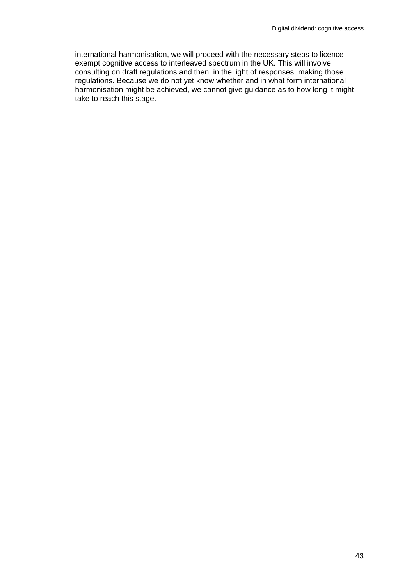international harmonisation, we will proceed with the necessary steps to licenceexempt cognitive access to interleaved spectrum in the UK. This will involve consulting on draft regulations and then, in the light of responses, making those regulations. Because we do not yet know whether and in what form international harmonisation might be achieved, we cannot give guidance as to how long it might take to reach this stage.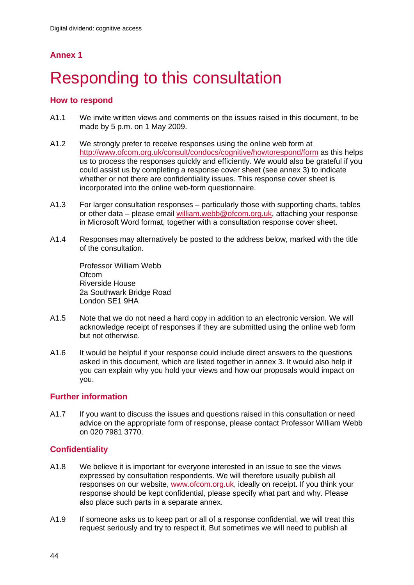## **Annex 1**

# **Responding to this consultation**

#### **How to respond**

- A1.1 We invite written views and comments on the issues raised in this document, to be made by 5 p.m. on 1 May 2009.
- A1.2 We strongly prefer to receive responses using the online web form at http://www.ofcom.org.uk/consult/condocs/cognitive/howtorespond/form as this helps us to process the responses quickly and efficiently. We would also be grateful if you could assist us by completing a response cover sheet (see annex 3) to indicate whether or not there are confidentiality issues. This response cover sheet is incorporated into the online web-form questionnaire.
- A1.3 For larger consultation responses particularly those with supporting charts, tables or other data – please email william.webb@ofcom.org.uk, attaching your response in Microsoft Word format, together with a consultation response cover sheet.
- A1.4 Responses may alternatively be posted to the address below, marked with the title of the consultation.

Professor William Webb Ofcom Riverside House 2a Southwark Bridge Road London SE1 9HA

- A1.5 Note that we do not need a hard copy in addition to an electronic version. We will acknowledge receipt of responses if they are submitted using the online web form but not otherwise.
- A1.6 It would be helpful if your response could include direct answers to the questions asked in this document, which are listed together in annex 3. It would also help if you can explain why you hold your views and how our proposals would impact on you.

#### **Further information**

A1.7 If you want to discuss the issues and questions raised in this consultation or need advice on the appropriate form of response, please contact Professor William Webb on 020 7981 3770.

### **Confidentiality**

- A1.8 We believe it is important for everyone interested in an issue to see the views expressed by consultation respondents. We will therefore usually publish all responses on our website, www.ofcom.org.uk, ideally on receipt. If you think your response should be kept confidential, please specify what part and why. Please also place such parts in a separate annex.
- A1.9 If someone asks us to keep part or all of a response confidential, we will treat this request seriously and try to respect it. But sometimes we will need to publish all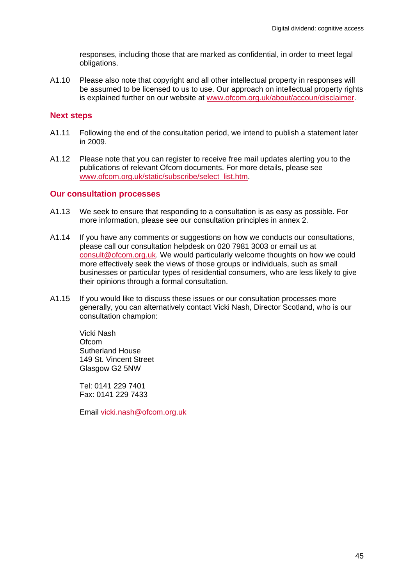responses, including those that are marked as confidential, in order to meet legal obligations.

A1.10 Please also note that copyright and all other intellectual property in responses will be assumed to be licensed to us to use. Our approach on intellectual property rights is explained further on our website at www.ofcom.org.uk/about/accoun/disclaimer.

#### **Next steps**

- A1.11 Following the end of the consultation period, we intend to publish a statement later in 2009.
- A1.12 Please note that you can register to receive free mail updates alerting you to the publications of relevant Ofcom documents. For more details, please see www.ofcom.org.uk/static/subscribe/select\_list.htm.

#### **Our consultation processes**

- A1.13 We seek to ensure that responding to a consultation is as easy as possible. For more information, please see our consultation principles in annex 2.
- A1.14 If you have any comments or suggestions on how we conducts our consultations, please call our consultation helpdesk on 020 7981 3003 or email us at consult@ofcom.org.uk. We would particularly welcome thoughts on how we could more effectively seek the views of those groups or individuals, such as small businesses or particular types of residential consumers, who are less likely to give their opinions through a formal consultation.
- A1.15 If you would like to discuss these issues or our consultation processes more generally, you can alternatively contact Vicki Nash, Director Scotland, who is our consultation champion:

Vicki Nash Ofcom Sutherland House 149 St. Vincent Street Glasgow G2 5NW

Tel: 0141 229 7401 Fax: 0141 229 7433

Email vicki.nash@ofcom.org.uk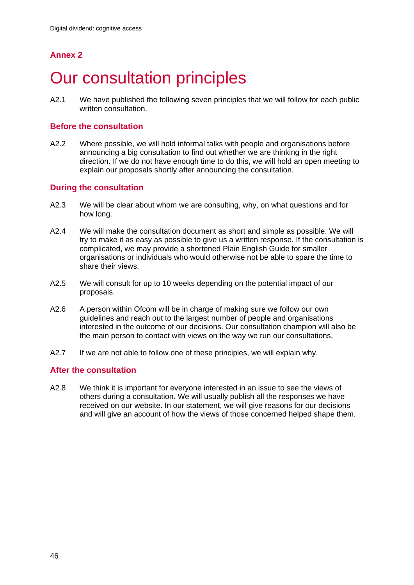## **Annex 2**

## **Our consultation principles**

A2.1 We have published the following seven principles that we will follow for each public written consultation.

#### **Before the consultation**

A2.2 Where possible, we will hold informal talks with people and organisations before announcing a big consultation to find out whether we are thinking in the right direction. If we do not have enough time to do this, we will hold an open meeting to explain our proposals shortly after announcing the consultation.

#### **During the consultation**

- A2.3 We will be clear about whom we are consulting, why, on what questions and for how long.
- A2.4 We will make the consultation document as short and simple as possible. We will try to make it as easy as possible to give us a written response. If the consultation is complicated, we may provide a shortened Plain English Guide for smaller organisations or individuals who would otherwise not be able to spare the time to share their views.
- A2.5 We will consult for up to 10 weeks depending on the potential impact of our proposals.
- A2.6 A person within Ofcom will be in charge of making sure we follow our own guidelines and reach out to the largest number of people and organisations interested in the outcome of our decisions. Our consultation champion will also be the main person to contact with views on the way we run our consultations.
- A2.7 If we are not able to follow one of these principles, we will explain why.

#### **After the consultation**

A2.8 We think it is important for everyone interested in an issue to see the views of others during a consultation. We will usually publish all the responses we have received on our website. In our statement, we will give reasons for our decisions and will give an account of how the views of those concerned helped shape them.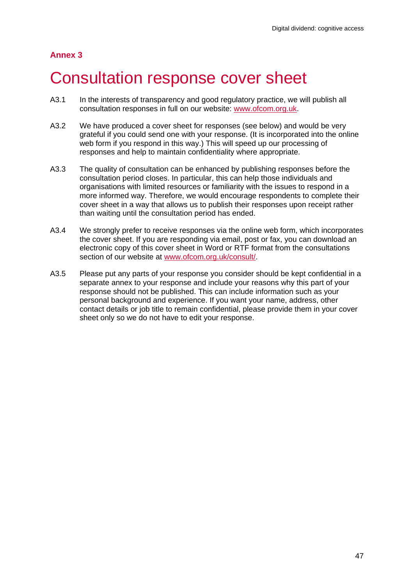### **Annex 3**

## 3 Consultation response cover sheet

- A3.1 In the interests of transparency and good regulatory practice, we will publish all consultation responses in full on our website: www.ofcom.org.uk.
- A3.2 We have produced a cover sheet for responses (see below) and would be very grateful if you could send one with your response. (It is incorporated into the online web form if you respond in this way.) This will speed up our processing of responses and help to maintain confidentiality where appropriate.
- A3.3 The quality of consultation can be enhanced by publishing responses before the consultation period closes. In particular, this can help those individuals and organisations with limited resources or familiarity with the issues to respond in a more informed way. Therefore, we would encourage respondents to complete their cover sheet in a way that allows us to publish their responses upon receipt rather than waiting until the consultation period has ended.
- A3.4 We strongly prefer to receive responses via the online web form, which incorporates the cover sheet. If you are responding via email, post or fax, you can download an electronic copy of this cover sheet in Word or RTF format from the consultations section of our website at www.ofcom.org.uk/consult/.
- A3.5 Please put any parts of your response you consider should be kept confidential in a separate annex to your response and include your reasons why this part of your response should not be published. This can include information such as your personal background and experience. If you want your name, address, other contact details or job title to remain confidential, please provide them in your cover sheet only so we do not have to edit your response.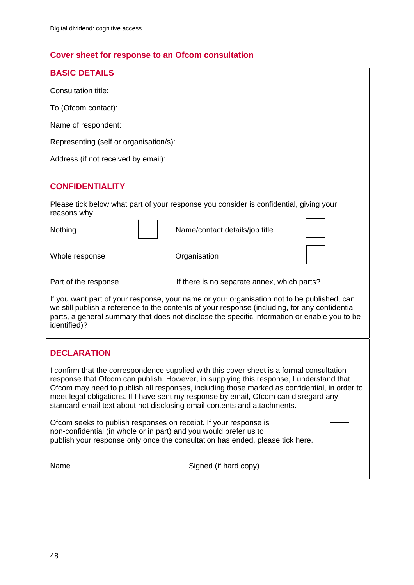## **Cover sheet for response to an Ofcom consultation**

| <b>BASIC DETAILS</b>                                                                                                                                                                                                                                                                                                                                                                                                                                     |  |  |
|----------------------------------------------------------------------------------------------------------------------------------------------------------------------------------------------------------------------------------------------------------------------------------------------------------------------------------------------------------------------------------------------------------------------------------------------------------|--|--|
| Consultation title:                                                                                                                                                                                                                                                                                                                                                                                                                                      |  |  |
| To (Ofcom contact):                                                                                                                                                                                                                                                                                                                                                                                                                                      |  |  |
| Name of respondent:                                                                                                                                                                                                                                                                                                                                                                                                                                      |  |  |
| Representing (self or organisation/s):                                                                                                                                                                                                                                                                                                                                                                                                                   |  |  |
| Address (if not received by email):                                                                                                                                                                                                                                                                                                                                                                                                                      |  |  |
| <b>CONFIDENTIALITY</b>                                                                                                                                                                                                                                                                                                                                                                                                                                   |  |  |
|                                                                                                                                                                                                                                                                                                                                                                                                                                                          |  |  |
| Please tick below what part of your response you consider is confidential, giving your<br>reasons why                                                                                                                                                                                                                                                                                                                                                    |  |  |
| Name/contact details/job title<br>Nothing                                                                                                                                                                                                                                                                                                                                                                                                                |  |  |
| Whole response<br>Organisation                                                                                                                                                                                                                                                                                                                                                                                                                           |  |  |
| Part of the response<br>If there is no separate annex, which parts?                                                                                                                                                                                                                                                                                                                                                                                      |  |  |
| If you want part of your response, your name or your organisation not to be published, can<br>we still publish a reference to the contents of your response (including, for any confidential<br>parts, a general summary that does not disclose the specific information or enable you to be<br>identified)?                                                                                                                                             |  |  |
| <b>DECLARATION</b>                                                                                                                                                                                                                                                                                                                                                                                                                                       |  |  |
| I confirm that the correspondence supplied with this cover sheet is a formal consultation<br>response that Ofcom can publish. However, in supplying this response, I understand that<br>Ofcom may need to publish all responses, including those marked as confidential, in order to<br>meet legal obligations. If I have sent my response by email, Ofcom can disregard any<br>standard email text about not disclosing email contents and attachments. |  |  |
| Ofcom seeks to publish responses on receipt. If your response is<br>non-confidential (in whole or in part) and you would prefer us to<br>publish your response only once the consultation has ended, please tick here.                                                                                                                                                                                                                                   |  |  |
| Signed (if hard copy)<br>Name                                                                                                                                                                                                                                                                                                                                                                                                                            |  |  |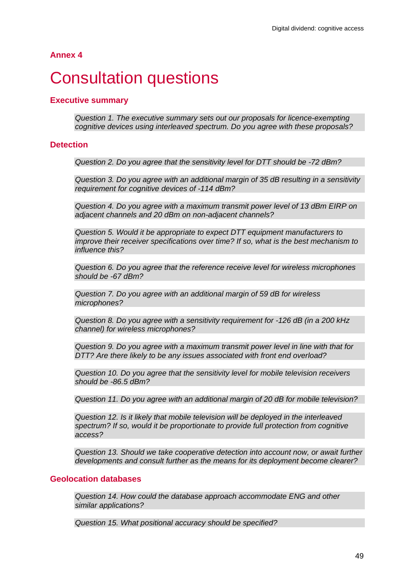**Annex 4** 

## **Consultation questions**

#### **Executive summary**

*Question 1. The executive summary sets out our proposals for licence-exempting cognitive devices using interleaved spectrum. Do you agree with these proposals?* 

#### **Detection**

*Question 2. Do you agree that the sensitivity level for DTT should be -72 dBm?* 

*Question 3. Do you agree with an additional margin of 35 dB resulting in a sensitivity requirement for cognitive devices of -114 dBm?* 

*Question 4. Do you agree with a maximum transmit power level of 13 dBm EIRP on adjacent channels and 20 dBm on non-adjacent channels?* 

*Question 5. Would it be appropriate to expect DTT equipment manufacturers to improve their receiver specifications over time? If so, what is the best mechanism to influence this?* 

*Question 6. Do you agree that the reference receive level for wireless microphones should be -67 dBm?* 

*Question 7. Do you agree with an additional margin of 59 dB for wireless microphones?* 

*Question 8. Do you agree with a sensitivity requirement for -126 dB (in a 200 kHz channel) for wireless microphones?* 

*Question 9. Do you agree with a maximum transmit power level in line with that for DTT? Are there likely to be any issues associated with front end overload?* 

*Question 10. Do you agree that the sensitivity level for mobile television receivers should be -86.5 dBm?* 

*Question 11. Do you agree with an additional margin of 20 dB for mobile television?* 

*Question 12. Is it likely that mobile television will be deployed in the interleaved spectrum? If so, would it be proportionate to provide full protection from cognitive access?* 

*Question 13. Should we take cooperative detection into account now, or await further developments and consult further as the means for its deployment become clearer?* 

#### **Geolocation databases**

*Question 14. How could the database approach accommodate ENG and other similar applications?* 

*Question 15. What positional accuracy should be specified?*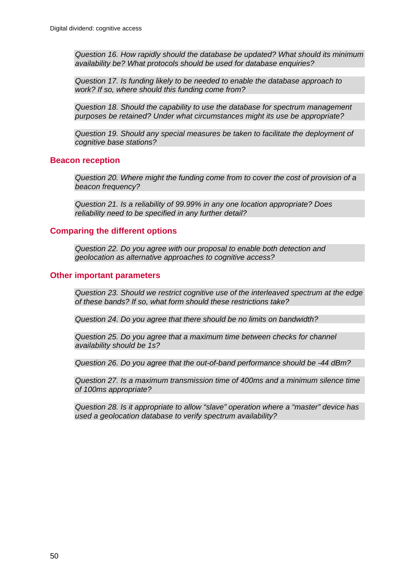*Question 16. How rapidly should the database be updated? What should its minimum availability be? What protocols should be used for database enquiries?* 

*Question 17. Is funding likely to be needed to enable the database approach to work? If so, where should this funding come from?* 

*Question 18. Should the capability to use the database for spectrum management purposes be retained? Under what circumstances might its use be appropriate?* 

*Question 19. Should any special measures be taken to facilitate the deployment of cognitive base stations?* 

#### **Beacon reception**

*Question 20. Where might the funding come from to cover the cost of provision of a beacon frequency?* 

*Question 21. Is a reliability of 99.99% in any one location appropriate? Does reliability need to be specified in any further detail?* 

#### **Comparing the different options**

*Question 22. Do you agree with our proposal to enable both detection and geolocation as alternative approaches to cognitive access?* 

#### **Other important parameters**

*Question 23. Should we restrict cognitive use of the interleaved spectrum at the edge of these bands? If so, what form should these restrictions take?* 

*Question 24. Do you agree that there should be no limits on bandwidth?* 

*Question 25. Do you agree that a maximum time between checks for channel availability should be 1s?* 

*Question 26. Do you agree that the out-of-band performance should be -44 dBm?* 

*Question 27. Is a maximum transmission time of 400ms and a minimum silence time of 100ms appropriate?* 

*Question 28. Is it appropriate to allow "slave" operation where a "master" device has used a geolocation database to verify spectrum availability?*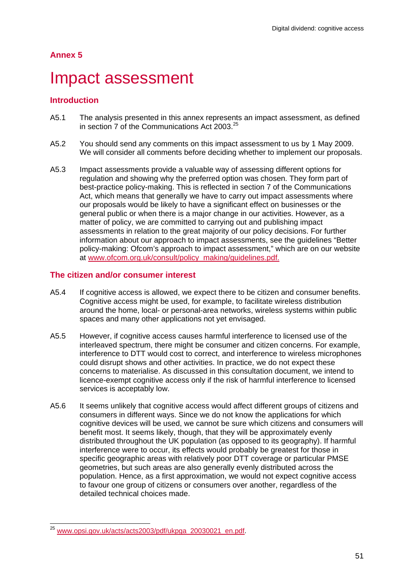### **Annex 5**

## Impact assessment

#### **Introduction**

- A5.1 The analysis presented in this annex represents an impact assessment, as defined in section 7 of the Communications Act 2003.<sup>25</sup>
- A5.2 You should send any comments on this impact assessment to us by 1 May 2009. We will consider all comments before deciding whether to implement our proposals.
- A5.3 Impact assessments provide a valuable way of assessing different options for regulation and showing why the preferred option was chosen. They form part of best-practice policy-making. This is reflected in section 7 of the Communications Act, which means that generally we have to carry out impact assessments where our proposals would be likely to have a significant effect on businesses or the general public or when there is a major change in our activities. However, as a matter of policy, we are committed to carrying out and publishing impact assessments in relation to the great majority of our policy decisions. For further information about our approach to impact assessments, see the guidelines "Better policy-making: Ofcom's approach to impact assessment," which are on our website at www.ofcom.org.uk/consult/policy\_making/guidelines.pdf.

#### **The citizen and/or consumer interest**

- A5.4 If cognitive access is allowed, we expect there to be citizen and consumer benefits. Cognitive access might be used, for example, to facilitate wireless distribution around the home, local- or personal-area networks, wireless systems within public spaces and many other applications not yet envisaged.
- A5.5 However, if cognitive access causes harmful interference to licensed use of the interleaved spectrum, there might be consumer and citizen concerns. For example, interference to DTT would cost to correct, and interference to wireless microphones could disrupt shows and other activities. In practice, we do not expect these concerns to materialise. As discussed in this consultation document, we intend to licence-exempt cognitive access only if the risk of harmful interference to licensed services is acceptably low.
- A5.6 It seems unlikely that cognitive access would affect different groups of citizens and consumers in different ways. Since we do not know the applications for which cognitive devices will be used, we cannot be sure which citizens and consumers will benefit most. It seems likely, though, that they will be approximately evenly distributed throughout the UK population (as opposed to its geography). If harmful interference were to occur, its effects would probably be greatest for those in specific geographic areas with relatively poor DTT coverage or particular PMSE geometries, but such areas are also generally evenly distributed across the population. Hence, as a first approximation, we would not expect cognitive access to favour one group of citizens or consumers over another, regardless of the detailed technical choices made.

 $\overline{a}$ <sup>25</sup> www.opsi.gov.uk/acts/acts2003/pdf/ukpga\_20030021\_en.pdf.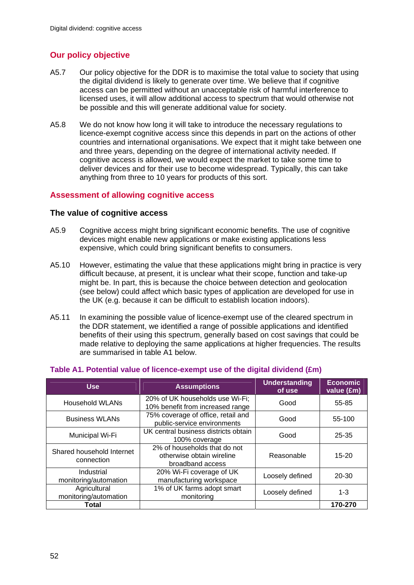### **Our policy objective**

- A5.7 Our policy objective for the DDR is to maximise the total value to society that using the digital dividend is likely to generate over time. We believe that if cognitive access can be permitted without an unacceptable risk of harmful interference to licensed uses, it will allow additional access to spectrum that would otherwise not be possible and this will generate additional value for society.
- A5.8 We do not know how long it will take to introduce the necessary regulations to licence-exempt cognitive access since this depends in part on the actions of other countries and international organisations. We expect that it might take between one and three years, depending on the degree of international activity needed. If cognitive access is allowed, we would expect the market to take some time to deliver devices and for their use to become widespread. Typically, this can take anything from three to 10 years for products of this sort.

#### **Assessment of allowing cognitive access**

#### **The value of cognitive access**

- A5.9 Cognitive access might bring significant economic benefits. The use of cognitive devices might enable new applications or make existing applications less expensive, which could bring significant benefits to consumers.
- A5.10 However, estimating the value that these applications might bring in practice is very difficult because, at present, it is unclear what their scope, function and take-up might be. In part, this is because the choice between detection and geolocation (see below) could affect which basic types of application are developed for use in the UK (e.g. because it can be difficult to establish location indoors).
- A5.11 In examining the possible value of licence-exempt use of the cleared spectrum in the DDR statement, we identified a range of possible applications and identified benefits of their using this spectrum, generally based on cost savings that could be made relative to deploying the same applications at higher frequencies. The results are summarised in table A1 below.

| <b>Use</b>                              | <b>Assumptions</b>                                                            | Understanding<br>of use | <b>Economic</b><br>value (£m) |
|-----------------------------------------|-------------------------------------------------------------------------------|-------------------------|-------------------------------|
| Household WLANs                         | 20% of UK households use Wi-Fi;<br>10% benefit from increased range           | Good                    | 55-85                         |
| <b>Business WLANs</b>                   | 75% coverage of office, retail and<br>public-service environments             | Good                    | 55-100                        |
| Municipal Wi-Fi                         | UK central business districts obtain<br>100% coverage                         | Good                    | 25-35                         |
| Shared household Internet<br>connection | 2% of households that do not<br>otherwise obtain wireline<br>broadband access | Reasonable              | $15 - 20$                     |
| Industrial<br>monitoring/automation     | 20% Wi-Fi coverage of UK<br>manufacturing workspace                           | Loosely defined         | $20 - 30$                     |
| Agricultural<br>monitoring/automation   | 1% of UK farms adopt smart<br>monitoring                                      | Loosely defined         | $1 - 3$                       |
| Total                                   |                                                                               |                         | 170-270                       |

#### **Table A1. Potential value of licence-exempt use of the digital dividend (£m)**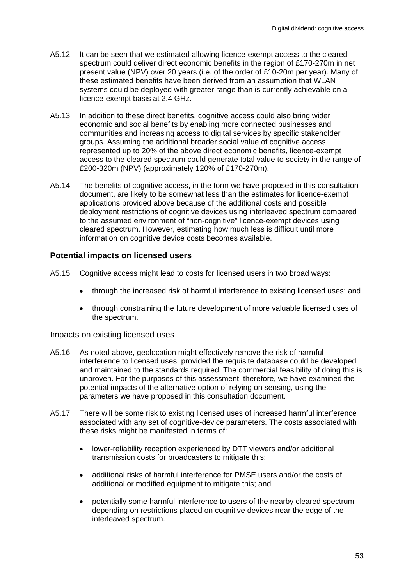- A5.12 It can be seen that we estimated allowing licence-exempt access to the cleared spectrum could deliver direct economic benefits in the region of £170-270m in net present value (NPV) over 20 years (i.e. of the order of £10-20m per year). Many of these estimated benefits have been derived from an assumption that WLAN systems could be deployed with greater range than is currently achievable on a licence-exempt basis at 2.4 GHz.
- A5.13 In addition to these direct benefits, cognitive access could also bring wider economic and social benefits by enabling more connected businesses and communities and increasing access to digital services by specific stakeholder groups. Assuming the additional broader social value of cognitive access represented up to 20% of the above direct economic benefits, licence-exempt access to the cleared spectrum could generate total value to society in the range of £200-320m (NPV) (approximately 120% of £170-270m).
- A5.14 The benefits of cognitive access, in the form we have proposed in this consultation document, are likely to be somewhat less than the estimates for licence-exempt applications provided above because of the additional costs and possible deployment restrictions of cognitive devices using interleaved spectrum compared to the assumed environment of "non-cognitive" licence-exempt devices using cleared spectrum. However, estimating how much less is difficult until more information on cognitive device costs becomes available.

#### **Potential impacts on licensed users**

- A5.15 Cognitive access might lead to costs for licensed users in two broad ways:
	- through the increased risk of harmful interference to existing licensed uses; and
	- through constraining the future development of more valuable licensed uses of the spectrum.

#### Impacts on existing licensed uses

- A5.16 As noted above, geolocation might effectively remove the risk of harmful interference to licensed uses, provided the requisite database could be developed and maintained to the standards required. The commercial feasibility of doing this is unproven. For the purposes of this assessment, therefore, we have examined the potential impacts of the alternative option of relying on sensing, using the parameters we have proposed in this consultation document.
- A5.17 There will be some risk to existing licensed uses of increased harmful interference associated with any set of cognitive-device parameters. The costs associated with these risks might be manifested in terms of:
	- lower-reliability reception experienced by DTT viewers and/or additional transmission costs for broadcasters to mitigate this;
	- additional risks of harmful interference for PMSE users and/or the costs of additional or modified equipment to mitigate this; and
	- potentially some harmful interference to users of the nearby cleared spectrum depending on restrictions placed on cognitive devices near the edge of the interleaved spectrum.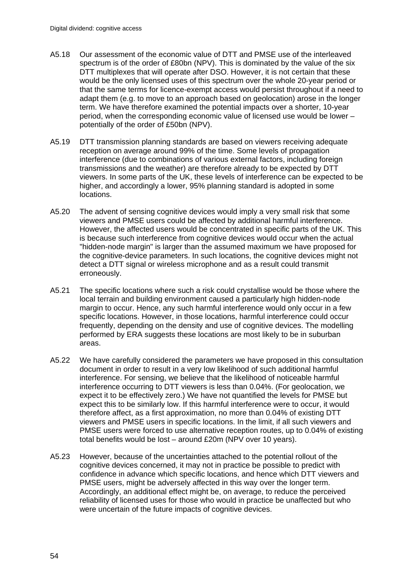- A5.18 Our assessment of the economic value of DTT and PMSE use of the interleaved spectrum is of the order of £80bn (NPV). This is dominated by the value of the six DTT multiplexes that will operate after DSO. However, it is not certain that these would be the only licensed uses of this spectrum over the whole 20-year period or that the same terms for licence-exempt access would persist throughout if a need to adapt them (e.g. to move to an approach based on geolocation) arose in the longer term. We have therefore examined the potential impacts over a shorter, 10-year period, when the corresponding economic value of licensed use would be lower – potentially of the order of £50bn (NPV).
- A5.19 DTT transmission planning standards are based on viewers receiving adequate reception on average around 99% of the time. Some levels of propagation interference (due to combinations of various external factors, including foreign transmissions and the weather) are therefore already to be expected by DTT viewers. In some parts of the UK, these levels of interference can be expected to be higher, and accordingly a lower, 95% planning standard is adopted in some locations.
- A5.20 The advent of sensing cognitive devices would imply a very small risk that some viewers and PMSE users could be affected by additional harmful interference. However, the affected users would be concentrated in specific parts of the UK. This is because such interference from cognitive devices would occur when the actual "hidden-node margin" is larger than the assumed maximum we have proposed for the cognitive-device parameters. In such locations, the cognitive devices might not detect a DTT signal or wireless microphone and as a result could transmit erroneously.
- A5.21 The specific locations where such a risk could crystallise would be those where the local terrain and building environment caused a particularly high hidden-node margin to occur. Hence, any such harmful interference would only occur in a few specific locations. However, in those locations, harmful interference could occur frequently, depending on the density and use of cognitive devices. The modelling performed by ERA suggests these locations are most likely to be in suburban areas.
- A5.22 We have carefully considered the parameters we have proposed in this consultation document in order to result in a very low likelihood of such additional harmful interference. For sensing, we believe that the likelihood of noticeable harmful interference occurring to DTT viewers is less than 0.04%. (For geolocation, we expect it to be effectively zero.) We have not quantified the levels for PMSE but expect this to be similarly low. If this harmful interference were to occur, it would therefore affect, as a first approximation, no more than 0.04% of existing DTT viewers and PMSE users in specific locations. In the limit, if all such viewers and PMSE users were forced to use alternative reception routes, up to 0.04% of existing total benefits would be lost – around £20m (NPV over 10 years).
- A5.23 However, because of the uncertainties attached to the potential rollout of the cognitive devices concerned, it may not in practice be possible to predict with confidence in advance which specific locations, and hence which DTT viewers and PMSE users, might be adversely affected in this way over the longer term. Accordingly, an additional effect might be, on average, to reduce the perceived reliability of licensed uses for those who would in practice be unaffected but who were uncertain of the future impacts of cognitive devices.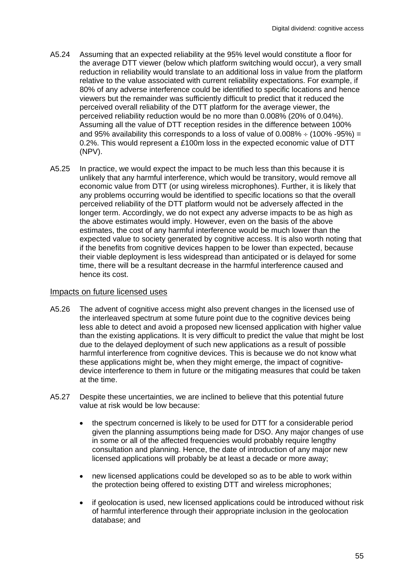- A5.24 Assuming that an expected reliability at the 95% level would constitute a floor for the average DTT viewer (below which platform switching would occur), a very small reduction in reliability would translate to an additional loss in value from the platform relative to the value associated with current reliability expectations. For example, if 80% of any adverse interference could be identified to specific locations and hence viewers but the remainder was sufficiently difficult to predict that it reduced the perceived overall reliability of the DTT platform for the average viewer, the perceived reliability reduction would be no more than 0.008% (20% of 0.04%). Assuming all the value of DTT reception resides in the difference between 100% and 95% availability this corresponds to a loss of value of  $0.008\% \div (100\% -95\%) =$ 0.2%. This would represent a £100m loss in the expected economic value of DTT (NPV).
- A5.25 In practice, we would expect the impact to be much less than this because it is unlikely that any harmful interference, which would be transitory, would remove all economic value from DTT (or using wireless microphones). Further, it is likely that any problems occurring would be identified to specific locations so that the overall perceived reliability of the DTT platform would not be adversely affected in the longer term. Accordingly, we do not expect any adverse impacts to be as high as the above estimates would imply. However, even on the basis of the above estimates, the cost of any harmful interference would be much lower than the expected value to society generated by cognitive access. It is also worth noting that if the benefits from cognitive devices happen to be lower than expected, because their viable deployment is less widespread than anticipated or is delayed for some time, there will be a resultant decrease in the harmful interference caused and hence its cost.

#### Impacts on future licensed uses

- A5.26 The advent of cognitive access might also prevent changes in the licensed use of the interleaved spectrum at some future point due to the cognitive devices being less able to detect and avoid a proposed new licensed application with higher value than the existing applications. It is very difficult to predict the value that might be lost due to the delayed deployment of such new applications as a result of possible harmful interference from cognitive devices. This is because we do not know what these applications might be, when they might emerge, the impact of cognitivedevice interference to them in future or the mitigating measures that could be taken at the time.
- A5.27 Despite these uncertainties, we are inclined to believe that this potential future value at risk would be low because:
	- the spectrum concerned is likely to be used for DTT for a considerable period given the planning assumptions being made for DSO. Any major changes of use in some or all of the affected frequencies would probably require lengthy consultation and planning. Hence, the date of introduction of any major new licensed applications will probably be at least a decade or more away;
	- new licensed applications could be developed so as to be able to work within the protection being offered to existing DTT and wireless microphones;
	- if geolocation is used, new licensed applications could be introduced without risk of harmful interference through their appropriate inclusion in the geolocation database; and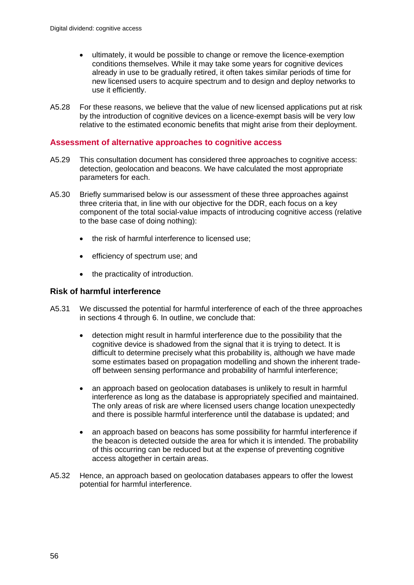- ultimately, it would be possible to change or remove the licence-exemption conditions themselves. While it may take some years for cognitive devices already in use to be gradually retired, it often takes similar periods of time for new licensed users to acquire spectrum and to design and deploy networks to use it efficiently.
- A5.28 For these reasons, we believe that the value of new licensed applications put at risk by the introduction of cognitive devices on a licence-exempt basis will be very low relative to the estimated economic benefits that might arise from their deployment.

#### **Assessment of alternative approaches to cognitive access**

- A5.29 This consultation document has considered three approaches to cognitive access: detection, geolocation and beacons. We have calculated the most appropriate parameters for each.
- A5.30 Briefly summarised below is our assessment of these three approaches against three criteria that, in line with our objective for the DDR, each focus on a key component of the total social-value impacts of introducing cognitive access (relative to the base case of doing nothing):
	- the risk of harmful interference to licensed use;
	- efficiency of spectrum use; and
	- the practicality of introduction.

#### **Risk of harmful interference**

- A5.31 We discussed the potential for harmful interference of each of the three approaches in sections 4 through 6. In outline, we conclude that:
	- detection might result in harmful interference due to the possibility that the cognitive device is shadowed from the signal that it is trying to detect. It is difficult to determine precisely what this probability is, although we have made some estimates based on propagation modelling and shown the inherent tradeoff between sensing performance and probability of harmful interference;
	- an approach based on geolocation databases is unlikely to result in harmful interference as long as the database is appropriately specified and maintained. The only areas of risk are where licensed users change location unexpectedly and there is possible harmful interference until the database is updated; and
	- an approach based on beacons has some possibility for harmful interference if the beacon is detected outside the area for which it is intended. The probability of this occurring can be reduced but at the expense of preventing cognitive access altogether in certain areas.
- A5.32 Hence, an approach based on geolocation databases appears to offer the lowest potential for harmful interference.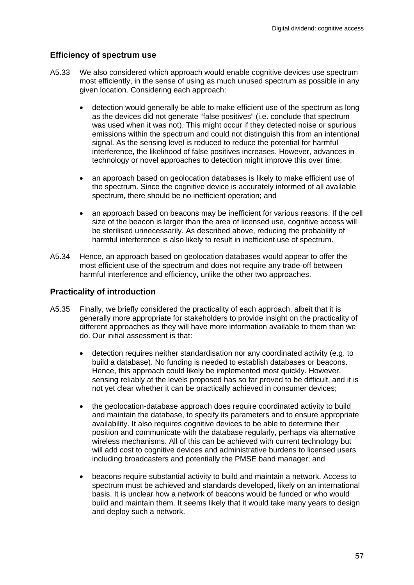#### **Efficiency of spectrum use**

- A5.33 We also considered which approach would enable cognitive devices use spectrum most efficiently, in the sense of using as much unused spectrum as possible in any given location. Considering each approach:
	- detection would generally be able to make efficient use of the spectrum as long as the devices did not generate "false positives" (i.e. conclude that spectrum was used when it was not). This might occur if they detected noise or spurious emissions within the spectrum and could not distinguish this from an intentional signal. As the sensing level is reduced to reduce the potential for harmful interference, the likelihood of false positives increases. However, advances in technology or novel approaches to detection might improve this over time;
	- an approach based on geolocation databases is likely to make efficient use of the spectrum. Since the cognitive device is accurately informed of all available spectrum, there should be no inefficient operation; and
	- an approach based on beacons may be inefficient for various reasons. If the cell size of the beacon is larger than the area of licensed use, cognitive access will be sterilised unnecessarily. As described above, reducing the probability of harmful interference is also likely to result in inefficient use of spectrum.
- A5.34 Hence, an approach based on geolocation databases would appear to offer the most efficient use of the spectrum and does not require any trade-off between harmful interference and efficiency, unlike the other two approaches.

#### **Practicality of introduction**

- A5.35 Finally, we briefly considered the practicality of each approach, albeit that it is generally more appropriate for stakeholders to provide insight on the practicality of different approaches as they will have more information available to them than we do. Our initial assessment is that:
	- detection requires neither standardisation nor any coordinated activity (e.g. to build a database). No funding is needed to establish databases or beacons. Hence, this approach could likely be implemented most quickly. However, sensing reliably at the levels proposed has so far proved to be difficult, and it is not yet clear whether it can be practically achieved in consumer devices;
	- the geolocation-database approach does require coordinated activity to build and maintain the database, to specify its parameters and to ensure appropriate availability. It also requires cognitive devices to be able to determine their position and communicate with the database regularly, perhaps via alternative wireless mechanisms. All of this can be achieved with current technology but will add cost to cognitive devices and administrative burdens to licensed users including broadcasters and potentially the PMSE band manager; and
	- beacons require substantial activity to build and maintain a network. Access to spectrum must be achieved and standards developed, likely on an international basis. It is unclear how a network of beacons would be funded or who would build and maintain them. It seems likely that it would take many years to design and deploy such a network.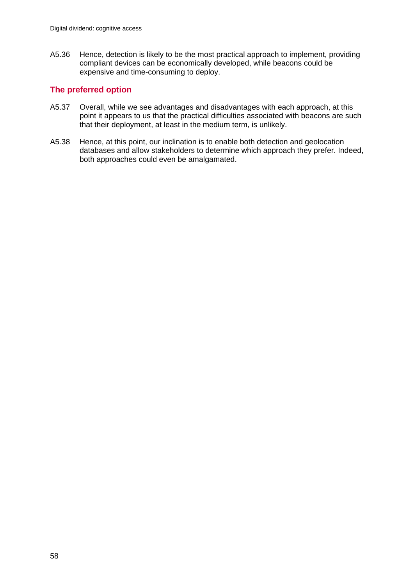A5.36 Hence, detection is likely to be the most practical approach to implement, providing compliant devices can be economically developed, while beacons could be expensive and time-consuming to deploy.

#### **The preferred option**

- A5.37 Overall, while we see advantages and disadvantages with each approach, at this point it appears to us that the practical difficulties associated with beacons are such that their deployment, at least in the medium term, is unlikely.
- A5.38 Hence, at this point, our inclination is to enable both detection and geolocation databases and allow stakeholders to determine which approach they prefer. Indeed, both approaches could even be amalgamated.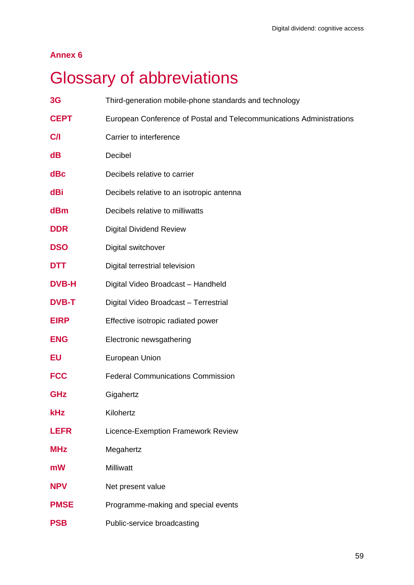### **Annex 6**

# **Glossary of abbreviations**

| 3G           | Third-generation mobile-phone standards and technology               |
|--------------|----------------------------------------------------------------------|
| <b>CEPT</b>  | European Conference of Postal and Telecommunications Administrations |
| C/I          | Carrier to interference                                              |
| dB           | Decibel                                                              |
| $d$ Bc       | Decibels relative to carrier                                         |
| dBi          | Decibels relative to an isotropic antenna                            |
| dBm          | Decibels relative to milliwatts                                      |
| <b>DDR</b>   | <b>Digital Dividend Review</b>                                       |
| <b>DSO</b>   | Digital switchover                                                   |
| <b>DTT</b>   | Digital terrestrial television                                       |
| <b>DVB-H</b> | Digital Video Broadcast - Handheld                                   |
| <b>DVB-T</b> | Digital Video Broadcast - Terrestrial                                |
| <b>EIRP</b>  | Effective isotropic radiated power                                   |
| <b>ENG</b>   | Electronic newsgathering                                             |
| EU           | European Union                                                       |
| <b>FCC</b>   | <b>Federal Communications Commission</b>                             |
| <b>GHz</b>   | Gigahertz                                                            |
| <b>kHz</b>   | Kilohertz                                                            |
| <b>LEFR</b>  | Licence-Exemption Framework Review                                   |
| <b>MHz</b>   | Megahertz                                                            |
| mW           | <b>Milliwatt</b>                                                     |
| <b>NPV</b>   | Net present value                                                    |
| <b>PMSE</b>  | Programme-making and special events                                  |
| <b>PSB</b>   | Public-service broadcasting                                          |